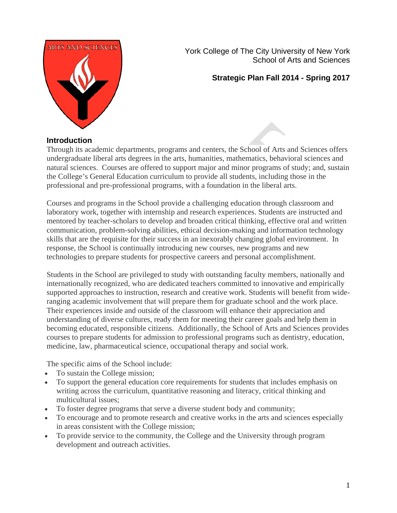

York College of The City University of New York School of Arts and Sciences

# **Strategic Plan Fall 2014 - Spring 2017**

#### **Introduction**

Through its academic departments, programs and centers, the School of Arts and Sciences offers undergraduate liberal arts degrees in the arts, humanities, mathematics, behavioral sciences and natural sciences. Courses are offered to support major and minor programs of study; and, sustain the College's General Education curriculum to provide all students, including those in the professional and pre-professional programs, with a foundation in the liberal arts.

Courses and programs in the School provide a challenging education through classroom and laboratory work, together with internship and research experiences. Students are instructed and mentored by teacher-scholars to develop and broaden critical thinking, effective oral and written communication, problem-solving abilities, ethical decision-making and information technology skills that are the requisite for their success in an inexorably changing global environment. In response, the School is continually introducing new courses, new programs and new technologies to prepare students for prospective careers and personal accomplishment.

Students in the School are privileged to study with outstanding faculty members, nationally and internationally recognized, who are dedicated teachers committed to innovative and empirically supported approaches to instruction, research and creative work. Students will benefit from wideranging academic involvement that will prepare them for graduate school and the work place. Their experiences inside and outside of the classroom will enhance their appreciation and understanding of diverse cultures, ready them for meeting their career goals and help them in becoming educated, responsible citizens. Additionally, the School of Arts and Sciences provides courses to prepare students for admission to professional programs such as dentistry, education, medicine, law, pharmaceutical science, occupational therapy and social work.

The specific aims of the School include:

- To sustain the College mission;
- To support the general education core requirements for students that includes emphasis on writing across the curriculum, quantitative reasoning and literacy, critical thinking and multicultural issues;
- To foster degree programs that serve a diverse student body and community;
- To encourage and to promote research and creative works in the arts and sciences especially in areas consistent with the College mission;
- To provide service to the community, the College and the University through program development and outreach activities.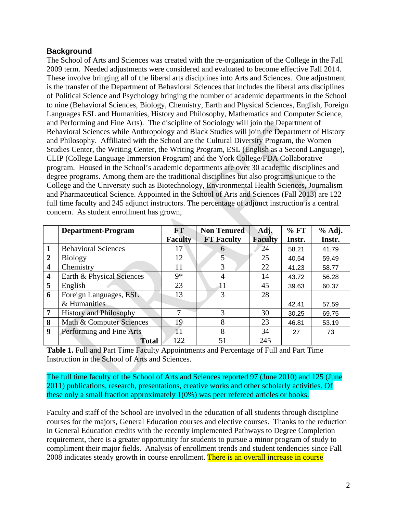# **Background**

The School of Arts and Sciences was created with the re-organization of the College in the Fall 2009 term. Needed adjustments were considered and evaluated to become effective Fall 2014. These involve bringing all of the liberal arts disciplines into Arts and Sciences. One adjustment is the transfer of the Department of Behavioral Sciences that includes the liberal arts disciplines of Political Science and Psychology bringing the number of academic departments in the School to nine (Behavioral Sciences, Biology, Chemistry, Earth and Physical Sciences, English, Foreign Languages ESL and Humanities, History and Philosophy, Mathematics and Computer Science, and Performing and Fine Arts). The discipline of Sociology will join the Department of Behavioral Sciences while Anthropology and Black Studies will join the Department of History and Philosophy. Affiliated with the School are the Cultural Diversity Program, the Women Studies Center, the Writing Center, the Writing Program, ESL (English as a Second Language), CLIP (College Language Immersion Program) and the York College/FDA Collaborative program. Housed in the School's academic departments are over 30 academic disciplines and degree programs. Among them are the traditional disciplines but also programs unique to the College and the University such as Biotechnology, Environmental Health Sciences, Journalism and Pharmaceutical Science. Appointed in the School of Arts and Sciences (Fall 2013) are 122 full time faculty and 245 adjunct instructors. The percentage of adjunct instruction is a central concern. As student enrollment has grown,

|                         | <b>Department-Program</b>     | $\mathbf{FT}$ | <b>Non Tenured</b> | Adj.           | % FT   | % Adj. |
|-------------------------|-------------------------------|---------------|--------------------|----------------|--------|--------|
|                         |                               | Faculty       | <b>FT Faculty</b>  | <b>Faculty</b> | Instr. | Instr. |
|                         | <b>Behavioral Sciences</b>    |               | 6                  | 24             | 58.21  | 41.79  |
| $\overline{2}$          | <b>Biology</b>                | 12            | 5                  | 25             | 40.54  | 59.49  |
| $\overline{\mathbf{4}}$ | Chemistry                     | 11            | 3                  | 22             | 41.23  | 58.77  |
| $\overline{\mathbf{4}}$ | Earth & Physical Sciences     | 9*            | 4                  | 14             | 43.72  | 56.28  |
| 5                       | English                       | 23            | 11                 | 45             | 39.63  | 60.37  |
| 6                       | Foreign Languages, ESL        | 13            | 3                  | 28             |        |        |
|                         | & Humanities                  |               |                    |                | 42.41  | 57.59  |
| 7                       | <b>History and Philosophy</b> |               | 3                  | 30             | 30.25  | 69.75  |
| 8                       | Math & Computer Sciences      | 19            | 8                  | 23             | 46.81  | 53.19  |
| 9                       | Performing and Fine Arts      | 11            | 8                  | 34             | 27     | 73     |
|                         | <b>Total</b>                  | 122           | 51                 | 245            |        |        |

**Table 1.** Full and Part Time Faculty Appointments and Percentage of Full and Part Time Instruction in the School of Arts and Sciences.

The full time faculty of the School of Arts and Sciences reported 97 (June 2010) and 125 (June 2011) publications, research, presentations, creative works and other scholarly activities. Of these only a small fraction approximately 1(0%) was peer refereed articles or books.

Faculty and staff of the School are involved in the education of all students through discipline courses for the majors, General Education courses and elective courses. Thanks to the reduction in General Education credits with the recently implemented Pathways to Degree Completion requirement, there is a greater opportunity for students to pursue a minor program of study to compliment their major fields. Analysis of enrollment trends and student tendencies since Fall 2008 indicates steady growth in course enrollment. There is an overall increase in course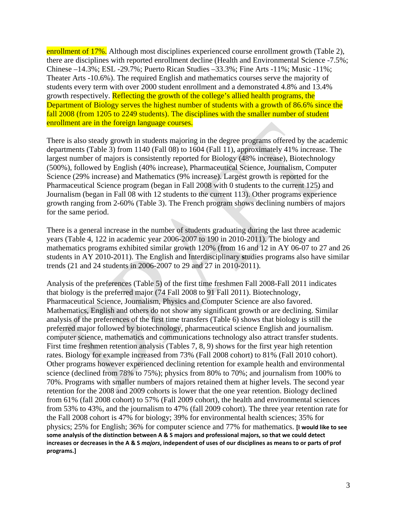enrollment of 17%. Although most disciplines experienced course enrollment growth (Table 2), there are disciplines with reported enrollment decline (Health and Environmental Science -7.5%; Chinese –14.3%; ESL -29.7%; Puerto Rican Studies –33.3%; Fine Arts -11%; Music -11%; Theater Arts -10.6%). The required English and mathematics courses serve the majority of students every term with over 2000 student enrollment and a demonstrated 4.8% and 13.4% growth respectively. Reflecting the growth of the college's allied health programs, the Department of Biology serves the highest number of students with a growth of 86.6% since the fall 2008 (from 1205 to 2249 students). The disciplines with the smaller number of student enrollment are in the foreign language courses.

There is also steady growth in students majoring in the degree programs offered by the academic departments (Table 3) from 1140 (Fall 08) to 1604 (Fall 11), approximately 41% increase. The largest number of majors is consistently reported for Biology (48% increase), Biotechnology (500%), followed by English (40% increase), Pharmaceutical Science, Journalism, Computer Science (29% increase) and Mathematics (9% increase). Largest growth is reported for the Pharmaceutical Science program (began in Fall 2008 with 0 students to the current 125) and Journalism (began in Fall 08 with 12 students to the current 113). Other programs experience growth ranging from 2-60% (Table 3). The French program shows declining numbers of majors for the same period.

There is a general increase in the number of students graduating during the last three academic years (Table 4, 122 in academic year 2006-2007 to 190 in 2010-2011). The biology and mathematics programs exhibited similar growth 120% (from 16 and 12 in AY 06-07 to 27 and 26 students in AY 2010-2011). The English and Interdisciplinary **s**tudies programs also have similar trends (21 and 24 students in 2006-2007 to 29 and 27 in 2010-2011).

Analysis of the preferences (Table 5) of the first time freshmen Fall 2008-Fall 2011 indicates that biology is the preferred major (74 Fall 2008 to 91 Fall 2011). Biotechnology, Pharmaceutical Science, Journalism, Physics and Computer Science are also favored. Mathematics, English and others do not show any significant growth or are declining. Similar analysis of the preferences of the first time transfers (Table 6) shows that biology is still the preferred major followed by biotechnology, pharmaceutical science English and journalism. computer science, mathematics and communications technology also attract transfer students. First time freshmen retention analysis (Tables 7, 8, 9) shows for the first year high retention rates. Biology for example increased from 73% (Fall 2008 cohort) to 81% (Fall 2010 cohort). Other programs however experienced declining retention for example health and environmental science (declined from 78% to 75%); physics from 80% to 70%; and journalism from 100% to 70%. Programs with smaller numbers of majors retained them at higher levels. The second year retention for the 2008 and 2009 cohorts is lower that the one year retention. Biology declined from 61% (fall 2008 cohort) to 57% (Fall 2009 cohort), the health and environmental sciences from 53% to 43%, and the journalism to 47% (fall 2009 cohort). The three year retention rate for the Fall 2008 cohort is 47% for biology; 39% for environmental health sciences; 35% for physics; 25% for English; 36% for computer science and 77% for mathematics. **[I would like to see some analysis of the distinction between A & S majors and professional majors, so that we could detect increases or decreases in the A & S** *majors***, independent of uses of our disciplines as means to or parts of prof programs.]**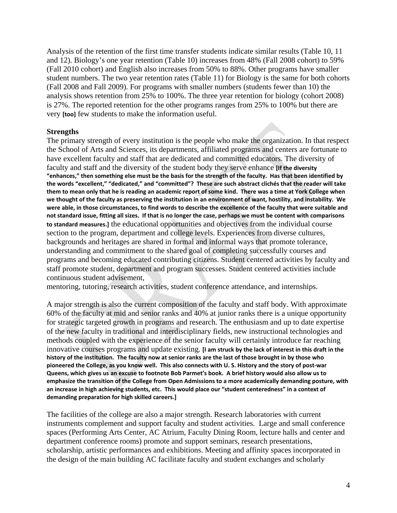Analysis of the retention of the first time transfer students indicate similar results (Table 10, 11 and 12). Biology's one year retention (Table 10) increases from 48% (Fall 2008 cohort) to 59% (Fall 2010 cohort) and English also increases from 50% to 88%. Other programs have smaller student numbers. The two year retention rates (Table 11) for Biology is the same for both cohorts (Fall 2008 and Fall 2009). For programs with smaller numbers (students fewer than 10) the analysis shows retention from 25% to 100%. The three year retention for biology (cohort 2008) is 27%. The reported retention for the other programs ranges from 25% to 100% but there are very **[too]** few students to make the information useful.

#### **Strengths**

The primary strength of every institution is the people who make the organization. In that respect the School of Arts and Sciences, its departments, affiliated programs and centers are fortunate to have excellent faculty and staff that are dedicated and committed educators. The diversity of faculty and staff and the diversity of the student body they serve enhance **[If the diversity "enhances," then something else must be the basis for the strength of the faculty. Has that been identified by the words "excellent," "dedicated," and "committed"? These are such abstract clichés that the reader will take them to mean only that he is reading an academic report of some kind. There was a time at York College when we thought of the faculty as preserving the institution in an environment of want, hostility, and instability. We were able, in those circumstances, to find words to describe the excellence of the faculty that were suitable and not standard issue, fitting all sizes. If that is no longer the case, perhaps we must be content with comparisons to standard measures.]** the educational opportunities and objectives from the individual course section to the program, department and college levels. Experiences from diverse cultures, backgrounds and heritages are shared in formal and informal ways that promote tolerance, understanding and commitment to the shared goal of completing successfully courses and programs and becoming educated contributing citizens. Student centered activities by faculty and staff promote student, department and program successes. Student centered activities include continuous student advisement,

mentoring, tutoring, research activities, student conference attendance, and internships.

A major strength is also the current composition of the faculty and staff body. With approximate 60% of the faculty at mid and senior ranks and 40% at junior ranks there is a unique opportunity for strategic targeted growth in programs and research. The enthusiasm and up to date expertise of the new faculty in traditional and interdisciplinary fields, new instructional technologies and methods coupled with the experience of the senior faculty will certainly introduce far reaching innovative courses programs and update existing. **[I am struck by the lack of interest in this draft in the history of the institution. The faculty now at senior ranks are the last of those brought in by those who pioneered the College, as you know well. This also connects with U. S. History and the story of post-war Queens, which gives us an excuse to footnote Bob Parmet's book. A brief history would also allow us to emphasize the transition of the College from Open Admissions to a more academically demanding posture, with an increase in high achieving students, etc. This would place our "student centeredness" in a context of demanding preparation for high skilled careers.]**

The facilities of the college are also a major strength. Research laboratories with current instruments complement and support faculty and student activities. Large and small conference spaces (Performing Arts Center, AC Atrium, Faculty Dining Room, lecture halls and center and department conference rooms) promote and support seminars, research presentations, scholarship, artistic performances and exhibitions. Meeting and affinity spaces incorporated in the design of the main building AC facilitate faculty and student exchanges and scholarly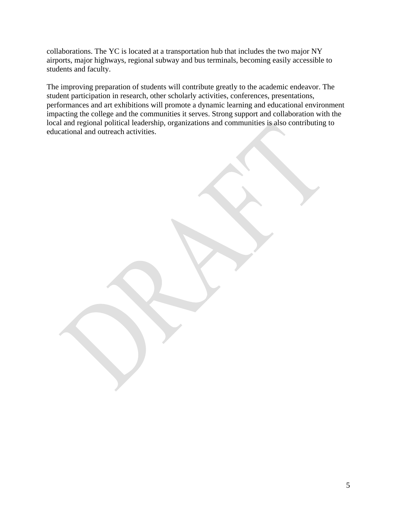collaborations. The YC is located at a transportation hub that includes the two major NY airports, major highways, regional subway and bus terminals, becoming easily accessible to students and faculty.

The improving preparation of students will contribute greatly to the academic endeavor. The student participation in research, other scholarly activities, conferences, presentations, performances and art exhibitions will promote a dynamic learning and educational environment impacting the college and the communities it serves. Strong support and collaboration with the local and regional political leadership, organizations and communities is also contributing to educational and outreach activities.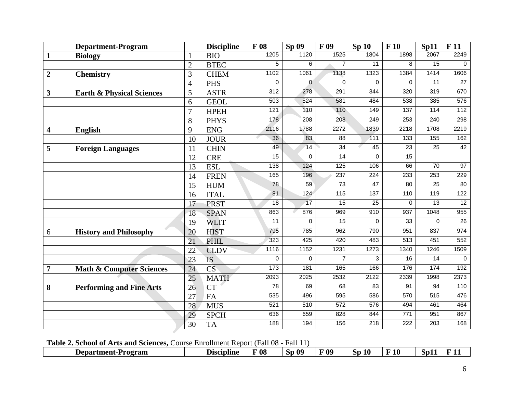| $\mathbf{1}$<br><b>BIO</b><br><b>Biology</b><br>$\overline{7}$<br>$\overline{11}$<br>8<br>15<br>5<br>6<br>$\overline{2}$<br><b>BTEC</b><br>1323<br>1384<br>$\overline{3}$<br>1102<br>1061<br>1138<br>1414<br><b>CHEM</b><br>$\overline{2}$<br><b>Chemistry</b><br>0<br>$\mathbf{0}$<br>$\mathbf 0$<br>0<br>0<br>$\overline{11}$<br>$\overline{4}$<br><b>PHS</b><br>320<br>312<br>278<br>291<br>344<br>319<br>$\mathbf{3}$<br>5<br><b>ASTR</b><br><b>Earth &amp; Physical Sciences</b><br>503<br>538<br>524<br>581<br>484<br>385<br><b>GEOL</b><br>6<br>121<br>110<br>110<br>149<br>137<br>114<br>$\overline{7}$<br><b>HPEH</b><br>249<br>178<br>$\overline{208}$<br>208<br>253<br>240<br>8<br><b>PHYS</b><br>2116<br>1788<br>1839<br>2218<br>1708<br>9<br>2272<br><b>ENG</b><br>$\overline{\mathbf{4}}$<br><b>English</b><br>36<br>83<br>$\overline{88}$<br>$\overline{111}$<br>$\overline{133}$<br>155<br>10<br><b>JOUR</b><br>49<br>14<br>$\overline{34}$<br>45<br>$\overline{23}$<br>$\overline{25}$<br><b>CHIN</b><br>11<br>5<br><b>Foreign Languages</b><br>15<br>15<br>$\overline{14}$<br>0<br>$\Omega$<br>12<br><b>CRE</b><br>124<br>125<br>106<br>66<br>138<br>70<br>13<br><b>ESL</b><br>$\overline{224}$<br>233<br>165<br>196<br>237<br>253<br><b>FREN</b><br>14<br>73<br>47<br>$\overline{25}$<br>78<br>59<br>80<br>15<br><b>HUM</b><br>137<br>81<br>124<br>$\frac{115}{115}$<br>110<br>119<br><b>ITAL</b><br>16<br>15<br>25<br>$\overline{18}$<br>17<br>0<br>$\overline{13}$<br>17<br><b>PRST</b><br>863<br>876<br>969<br>910<br>937<br>1048<br>18<br><b>SPAN</b><br>33<br>11<br>15<br>$\mathbf 0$<br>0<br>$\mathbf 0$<br>19<br><b>WLIT</b><br>790<br>951<br>795<br>785<br>962<br>837<br>20<br><b>HIST</b><br><b>History and Philosophy</b><br>6 | <b>Department-Program</b> |    | <b>Discipline</b> | F 08 | Sp 09 | F 09 | Sp <sub>10</sub> | F10  | Sp11 | F <sub>11</sub> |
|-------------------------------------------------------------------------------------------------------------------------------------------------------------------------------------------------------------------------------------------------------------------------------------------------------------------------------------------------------------------------------------------------------------------------------------------------------------------------------------------------------------------------------------------------------------------------------------------------------------------------------------------------------------------------------------------------------------------------------------------------------------------------------------------------------------------------------------------------------------------------------------------------------------------------------------------------------------------------------------------------------------------------------------------------------------------------------------------------------------------------------------------------------------------------------------------------------------------------------------------------------------------------------------------------------------------------------------------------------------------------------------------------------------------------------------------------------------------------------------------------------------------------------------------------------------------------------------------------------------------------------------------------------------------------------------------------------------------------------------------------------------|---------------------------|----|-------------------|------|-------|------|------------------|------|------|-----------------|
|                                                                                                                                                                                                                                                                                                                                                                                                                                                                                                                                                                                                                                                                                                                                                                                                                                                                                                                                                                                                                                                                                                                                                                                                                                                                                                                                                                                                                                                                                                                                                                                                                                                                                                                                                             |                           |    |                   | 1205 | 1120  | 1525 | 1804             | 1898 | 2067 | 2249            |
|                                                                                                                                                                                                                                                                                                                                                                                                                                                                                                                                                                                                                                                                                                                                                                                                                                                                                                                                                                                                                                                                                                                                                                                                                                                                                                                                                                                                                                                                                                                                                                                                                                                                                                                                                             |                           |    |                   |      |       |      |                  |      |      | 0               |
|                                                                                                                                                                                                                                                                                                                                                                                                                                                                                                                                                                                                                                                                                                                                                                                                                                                                                                                                                                                                                                                                                                                                                                                                                                                                                                                                                                                                                                                                                                                                                                                                                                                                                                                                                             |                           |    |                   |      |       |      |                  |      |      | 1606            |
|                                                                                                                                                                                                                                                                                                                                                                                                                                                                                                                                                                                                                                                                                                                                                                                                                                                                                                                                                                                                                                                                                                                                                                                                                                                                                                                                                                                                                                                                                                                                                                                                                                                                                                                                                             |                           |    |                   |      |       |      |                  |      |      | $\overline{27}$ |
|                                                                                                                                                                                                                                                                                                                                                                                                                                                                                                                                                                                                                                                                                                                                                                                                                                                                                                                                                                                                                                                                                                                                                                                                                                                                                                                                                                                                                                                                                                                                                                                                                                                                                                                                                             |                           |    |                   |      |       |      |                  |      |      | 670             |
|                                                                                                                                                                                                                                                                                                                                                                                                                                                                                                                                                                                                                                                                                                                                                                                                                                                                                                                                                                                                                                                                                                                                                                                                                                                                                                                                                                                                                                                                                                                                                                                                                                                                                                                                                             |                           |    |                   |      |       |      |                  |      |      | 576             |
|                                                                                                                                                                                                                                                                                                                                                                                                                                                                                                                                                                                                                                                                                                                                                                                                                                                                                                                                                                                                                                                                                                                                                                                                                                                                                                                                                                                                                                                                                                                                                                                                                                                                                                                                                             |                           |    |                   |      |       |      |                  |      |      | 112             |
|                                                                                                                                                                                                                                                                                                                                                                                                                                                                                                                                                                                                                                                                                                                                                                                                                                                                                                                                                                                                                                                                                                                                                                                                                                                                                                                                                                                                                                                                                                                                                                                                                                                                                                                                                             |                           |    |                   |      |       |      |                  |      |      | 298             |
|                                                                                                                                                                                                                                                                                                                                                                                                                                                                                                                                                                                                                                                                                                                                                                                                                                                                                                                                                                                                                                                                                                                                                                                                                                                                                                                                                                                                                                                                                                                                                                                                                                                                                                                                                             |                           |    |                   |      |       |      |                  |      |      | 2219            |
|                                                                                                                                                                                                                                                                                                                                                                                                                                                                                                                                                                                                                                                                                                                                                                                                                                                                                                                                                                                                                                                                                                                                                                                                                                                                                                                                                                                                                                                                                                                                                                                                                                                                                                                                                             |                           |    |                   |      |       |      |                  |      |      | 162             |
|                                                                                                                                                                                                                                                                                                                                                                                                                                                                                                                                                                                                                                                                                                                                                                                                                                                                                                                                                                                                                                                                                                                                                                                                                                                                                                                                                                                                                                                                                                                                                                                                                                                                                                                                                             |                           |    |                   |      |       |      |                  |      |      | 42              |
|                                                                                                                                                                                                                                                                                                                                                                                                                                                                                                                                                                                                                                                                                                                                                                                                                                                                                                                                                                                                                                                                                                                                                                                                                                                                                                                                                                                                                                                                                                                                                                                                                                                                                                                                                             |                           |    |                   |      |       |      |                  |      |      |                 |
|                                                                                                                                                                                                                                                                                                                                                                                                                                                                                                                                                                                                                                                                                                                                                                                                                                                                                                                                                                                                                                                                                                                                                                                                                                                                                                                                                                                                                                                                                                                                                                                                                                                                                                                                                             |                           |    |                   |      |       |      |                  |      |      | 97              |
|                                                                                                                                                                                                                                                                                                                                                                                                                                                                                                                                                                                                                                                                                                                                                                                                                                                                                                                                                                                                                                                                                                                                                                                                                                                                                                                                                                                                                                                                                                                                                                                                                                                                                                                                                             |                           |    |                   |      |       |      |                  |      |      | 229             |
|                                                                                                                                                                                                                                                                                                                                                                                                                                                                                                                                                                                                                                                                                                                                                                                                                                                                                                                                                                                                                                                                                                                                                                                                                                                                                                                                                                                                                                                                                                                                                                                                                                                                                                                                                             |                           |    |                   |      |       |      |                  |      |      | 80              |
|                                                                                                                                                                                                                                                                                                                                                                                                                                                                                                                                                                                                                                                                                                                                                                                                                                                                                                                                                                                                                                                                                                                                                                                                                                                                                                                                                                                                                                                                                                                                                                                                                                                                                                                                                             |                           |    |                   |      |       |      |                  |      |      | 122             |
|                                                                                                                                                                                                                                                                                                                                                                                                                                                                                                                                                                                                                                                                                                                                                                                                                                                                                                                                                                                                                                                                                                                                                                                                                                                                                                                                                                                                                                                                                                                                                                                                                                                                                                                                                             |                           |    |                   |      |       |      |                  |      |      | 12              |
|                                                                                                                                                                                                                                                                                                                                                                                                                                                                                                                                                                                                                                                                                                                                                                                                                                                                                                                                                                                                                                                                                                                                                                                                                                                                                                                                                                                                                                                                                                                                                                                                                                                                                                                                                             |                           |    |                   |      |       |      |                  |      |      | 955             |
|                                                                                                                                                                                                                                                                                                                                                                                                                                                                                                                                                                                                                                                                                                                                                                                                                                                                                                                                                                                                                                                                                                                                                                                                                                                                                                                                                                                                                                                                                                                                                                                                                                                                                                                                                             |                           |    |                   |      |       |      |                  |      |      | $\overline{26}$ |
|                                                                                                                                                                                                                                                                                                                                                                                                                                                                                                                                                                                                                                                                                                                                                                                                                                                                                                                                                                                                                                                                                                                                                                                                                                                                                                                                                                                                                                                                                                                                                                                                                                                                                                                                                             |                           |    |                   |      |       |      |                  |      |      | 974             |
|                                                                                                                                                                                                                                                                                                                                                                                                                                                                                                                                                                                                                                                                                                                                                                                                                                                                                                                                                                                                                                                                                                                                                                                                                                                                                                                                                                                                                                                                                                                                                                                                                                                                                                                                                             |                           | 21 | <b>PHIL</b>       | 323  | 425   | 420  | 483              | 513  | 451  | 552             |
| 1273<br>1340<br>1246<br>1116<br>1152<br>1231<br>22<br><b>CLDV</b>                                                                                                                                                                                                                                                                                                                                                                                                                                                                                                                                                                                                                                                                                                                                                                                                                                                                                                                                                                                                                                                                                                                                                                                                                                                                                                                                                                                                                                                                                                                                                                                                                                                                                           |                           |    |                   |      |       |      |                  |      |      | 1509            |
| $\overline{7}$<br>3<br>16<br>23<br><b>IS</b><br>$\mathbf 0$<br>$\mathbf 0$<br>14                                                                                                                                                                                                                                                                                                                                                                                                                                                                                                                                                                                                                                                                                                                                                                                                                                                                                                                                                                                                                                                                                                                                                                                                                                                                                                                                                                                                                                                                                                                                                                                                                                                                            |                           |    |                   |      |       |      |                  |      |      | $\mathbf 0$     |
| 176<br>173<br>181<br>165<br>166<br>174<br>$\overline{\text{CS}}$<br>$\overline{7}$<br>24<br><b>Math &amp; Computer Sciences</b>                                                                                                                                                                                                                                                                                                                                                                                                                                                                                                                                                                                                                                                                                                                                                                                                                                                                                                                                                                                                                                                                                                                                                                                                                                                                                                                                                                                                                                                                                                                                                                                                                             |                           |    |                   |      |       |      |                  |      |      | 192             |
| 2532<br>2122<br>2339<br>25<br>2093<br>2025<br>1998<br><b>MATH</b>                                                                                                                                                                                                                                                                                                                                                                                                                                                                                                                                                                                                                                                                                                                                                                                                                                                                                                                                                                                                                                                                                                                                                                                                                                                                                                                                                                                                                                                                                                                                                                                                                                                                                           |                           |    |                   |      |       |      |                  |      |      | 2373            |
| 78<br>68<br>83<br>91<br>69<br>94<br>26<br><b>CT</b><br>8<br><b>Performing and Fine Arts</b>                                                                                                                                                                                                                                                                                                                                                                                                                                                                                                                                                                                                                                                                                                                                                                                                                                                                                                                                                                                                                                                                                                                                                                                                                                                                                                                                                                                                                                                                                                                                                                                                                                                                 |                           |    |                   |      |       |      |                  |      |      | 110             |
| 586<br>570<br>535<br>496<br>595<br>515<br>27<br>FA                                                                                                                                                                                                                                                                                                                                                                                                                                                                                                                                                                                                                                                                                                                                                                                                                                                                                                                                                                                                                                                                                                                                                                                                                                                                                                                                                                                                                                                                                                                                                                                                                                                                                                          |                           |    |                   |      |       |      |                  |      |      | 476             |
| 521<br>510<br>572<br>576<br>494<br>461<br>28<br><b>MUS</b>                                                                                                                                                                                                                                                                                                                                                                                                                                                                                                                                                                                                                                                                                                                                                                                                                                                                                                                                                                                                                                                                                                                                                                                                                                                                                                                                                                                                                                                                                                                                                                                                                                                                                                  |                           |    |                   |      |       |      |                  |      |      | 464             |
| 636<br>659<br>828<br>844<br>771<br>951<br>29<br><b>SPCH</b>                                                                                                                                                                                                                                                                                                                                                                                                                                                                                                                                                                                                                                                                                                                                                                                                                                                                                                                                                                                                                                                                                                                                                                                                                                                                                                                                                                                                                                                                                                                                                                                                                                                                                                 |                           |    |                   |      |       |      |                  |      |      | 867             |
| 188<br>194<br>156<br>$\overline{218}$<br>$\overline{222}$<br>203<br>30<br><b>TA</b>                                                                                                                                                                                                                                                                                                                                                                                                                                                                                                                                                                                                                                                                                                                                                                                                                                                                                                                                                                                                                                                                                                                                                                                                                                                                                                                                                                                                                                                                                                                                                                                                                                                                         |                           |    |                   |      |       |      |                  |      |      | 168             |

**Table 2. School of Arts and Sciences,** Course Enrollment Report (Fall 08 - Fall 11)

| ________________<br>---------------- |  | .                 | ----------  |            |              |          |    |    |  |
|--------------------------------------|--|-------------------|-------------|------------|--------------|----------|----|----|--|
| -Program<br>Department-              |  | <b>Discipline</b> | $\nabla$ 08 | , 09<br>ാപ | F 09<br>- 11 | 1Λ<br>ŊЮ | 10 | SD |  |
|                                      |  |                   |             |            |              |          |    |    |  |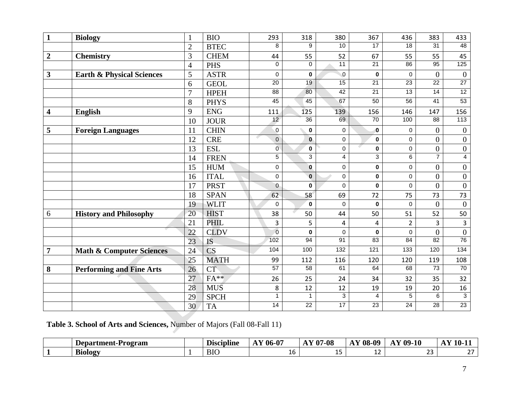| $\mathbf{1}$     | <b>Biology</b>                       | $\mathbf{1}$   | <b>BIO</b>  | 293             | 318             | 380              | 367             | 436              | 383              | 433                 |
|------------------|--------------------------------------|----------------|-------------|-----------------|-----------------|------------------|-----------------|------------------|------------------|---------------------|
|                  |                                      | $\overline{2}$ | <b>BTEC</b> | 8               | 9               | 10               | $\overline{17}$ | $\overline{18}$  | $\overline{31}$  | 48                  |
| $\boldsymbol{2}$ | <b>Chemistry</b>                     | 3              | <b>CHEM</b> | 44              | 55              | 52               | 67              | 55               | 55               | 45                  |
|                  |                                      | $\overline{4}$ | <b>PHS</b>  | $\Omega$        | $\Omega$        | $\overline{11}$  | $\overline{21}$ | 86               | 95               | 125                 |
| $\mathbf{3}$     | <b>Earth &amp; Physical Sciences</b> | 5              | <b>ASTR</b> | 0               | $\mathbf 0$     | $\pmb{0}$        | $\pmb{0}$       | $\pmb{0}$        | $\overline{0}$   | $\overline{0}$      |
|                  |                                      | 6              | <b>GEOL</b> | $\overline{20}$ | $\overline{19}$ | 15               | $\overline{21}$ | 23               | $\overline{22}$  | 27                  |
|                  |                                      | $\overline{7}$ | <b>HPEH</b> | 88              | 80              | 42               | $\overline{21}$ | $\overline{13}$  | $\overline{14}$  | 12                  |
|                  |                                      | 8              | <b>PHYS</b> | 45              | 45              | 67               | 50              | 56               | 41               | 53                  |
| 4                | <b>English</b>                       | 9              | <b>ENG</b>  | 111             | 125             | 139              | 156             | 146              | 147              | 156                 |
|                  |                                      | 10             | <b>JOUR</b> | 12              | $\overline{36}$ | 69               | 70              | 100              | 88               | 113                 |
| 5                | <b>Foreign Languages</b>             | 11             | <b>CHIN</b> | $\pmb{0}$       | $\pmb{0}$       | $\mathbf 0$      | $\bf{0}$        | 0                | $\overline{0}$   | $\boldsymbol{0}$    |
|                  |                                      | 12             | <b>CRE</b>  | $\mathbf 0$     | $\mathbf{0}$    | $\mathbf 0$      | $\mathbf 0$     | $\mathsf 0$      | $\overline{0}$   | $\boldsymbol{0}$    |
|                  |                                      | 13             | <b>ESL</b>  | 0               | $\mathbf 0$     | $\mathbf 0$      | $\pmb{0}$       | $\pmb{0}$        | $\boldsymbol{0}$ | $\boldsymbol{0}$    |
|                  |                                      | 14             | <b>FREN</b> | $\overline{5}$  | $\overline{3}$  | $\overline{4}$   | $\overline{3}$  | $\overline{6}$   | $\overline{7}$   | $\overline{4}$      |
|                  |                                      | 15             | <b>HUM</b>  | 0               | $\mathbf{0}$    | $\pmb{0}$        | 0               | $\pmb{0}$        | $\overline{0}$   | $\boldsymbol{0}$    |
|                  |                                      | 16             | <b>ITAL</b> | 0               | $\mathbf 0$     | $\mathbf 0$      | $\mathbf 0$     | $\mathsf 0$      | $\overline{0}$   | $\boldsymbol{0}$    |
|                  |                                      | 17             | <b>PRST</b> | $\overline{0}$  | $\bf{0}$        | $\mathbf 0$      | $\mathbf 0$     | $\mathsf 0$      | $\theta$         | $\boldsymbol{0}$    |
|                  |                                      | 18             | <b>SPAN</b> | 62              | 58              | 69               | 72              | 75               | 73               | 73                  |
|                  |                                      | 19             | <b>WLIT</b> | 0               | $\bf{0}$        | $\mathbf 0$      | $\bf{0}$        | 0                | $\overline{0}$   | $\boldsymbol{0}$    |
| 6                | <b>History and Philosophy</b>        | 20             | <b>HIST</b> | 38              | 50              | 44               | 50              | 51               | 52               | 50                  |
|                  |                                      | 21             | <b>PHIL</b> | 3               | 5               | 4                | $\overline{4}$  | $\overline{2}$   | $\overline{3}$   | $\overline{3}$      |
|                  |                                      | 22             | <b>CLDV</b> | $\overline{0}$  | $\bf{0}$        | $\mathbf 0$      | $\mathbf 0$     | $\mathbf 0$      | $\theta$         | $\overline{0}$      |
|                  |                                      | 23             | <b>IS</b>   | 102             | 94              | 91               | 83              | 84               | $\overline{82}$  | 76                  |
| $\overline{7}$   | <b>Math &amp; Computer Sciences</b>  | 24             | CS          | 104             | 100             | $\overline{132}$ | 121             | $\overline{133}$ | 120              | 134                 |
|                  |                                      | 25             | <b>MATH</b> | 99              | 112             | 116              | 120             | 120              | 119              | 108                 |
| 8                | <b>Performing and Fine Arts</b>      | 26             | <b>CT</b>   | 57              | $\overline{58}$ | 61               | 64              | 68               | 73               | 70                  |
|                  |                                      | 27             | $FA**$      | 26              | 25              | 24               | 34              | 32               | 35               | 32                  |
|                  |                                      | 28             | <b>MUS</b>  | 8               | 12              | 12               | 19              | 19               | 20               | 16                  |
|                  |                                      | 29             | <b>SPCH</b> | 1               | $\mathbf{1}$    | 3                | 4               | $\overline{5}$   | 6                | $\overline{\omega}$ |
|                  |                                      | 30             | <b>TA</b>   | $\overline{14}$ | $\overline{22}$ | 17               | $\overline{23}$ | 24               | $\overline{28}$  | 23                  |

**Table 3. School of Arts and Sciences,** Number of Majors (Fall 08-Fall 11)

| Department-Program | D.<br>Discipline | $\Delta$ Y 06-07 | $\mathbf{Y}$ 07-08<br>$\mathbf{a}$ | Y 08<br>-00<br>$\lambda$<br>ч.<br>$\mathbf{L}$ | $\Delta$ Y 09-10<br><b>AAA</b> | $\mathbf{V}$ 10<br>1V· |
|--------------------|------------------|------------------|------------------------------------|------------------------------------------------|--------------------------------|------------------------|
| <b>Biology</b>     | <b>BIO</b>       | τv               | --                                 | <b>.</b>                                       | $\sim$ $\sim$<br>ب ے           | $\sim$ $-$<br>- -      |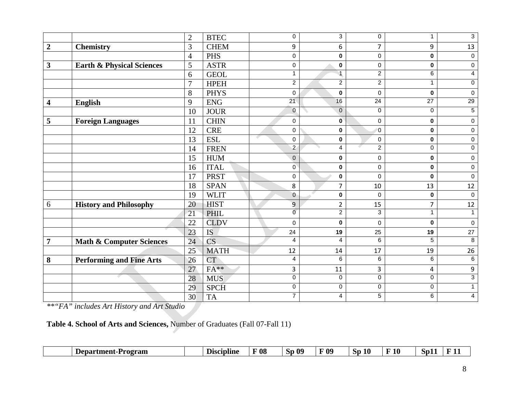|                         |                                      | $\overline{2}$ | <b>BTEC</b>            | 0              | 3                | 0              | 1               | $\mathbf{3}$        |
|-------------------------|--------------------------------------|----------------|------------------------|----------------|------------------|----------------|-----------------|---------------------|
| $\boldsymbol{2}$        | <b>Chemistry</b>                     | 3              | <b>CHEM</b>            | 9              | 6                | $\overline{7}$ | 9               | 13                  |
|                         |                                      | $\overline{4}$ | <b>PHS</b>             | 0              | 0                | $\pmb{0}$      | 0               | $\mathbf 0$         |
| 3                       | <b>Earth &amp; Physical Sciences</b> | 5              | <b>ASTR</b>            | 0              | 0                | 0              | 0               | $\mathbf 0$         |
|                         |                                      | 6              | <b>GEOL</b>            | $\mathbf{1}$   | $\overline{1}$   | 2              | 6               | $\overline{4}$      |
|                         |                                      | 7              | <b>HPEH</b>            | $\overline{c}$ | $\overline{2}$   | $\overline{c}$ | $\mathbf{1}$    | 0                   |
|                         |                                      | 8              | <b>PHYS</b>            | 0              | $\mathbf 0$      | $\mathbf 0$    | $\pmb{0}$       | $\mathbf 0$         |
| $\overline{\mathbf{4}}$ | <b>English</b>                       | 9              | ${\rm ENG}$            | 21             | 16               | 24             | $\overline{27}$ | 29                  |
|                         |                                      | 10             | <b>JOUR</b>            | 0              | $\pmb{0}$        | $\pmb{0}$      | 0               | $\overline{5}$      |
| 5                       | <b>Foreign Languages</b>             | 11             | <b>CHIN</b>            | $\mathsf 0$    | $\mathbf{0}$     | $\pmb{0}$      | 0               | $\mathsf{O}\xspace$ |
|                         |                                      | 12             | <b>CRE</b>             | 0              | 0                | $\overline{0}$ | 0               | $\mathbf 0$         |
|                         |                                      | 13             | <b>ESL</b>             | $\mathsf 0$    | $\pmb{0}$        | $\pmb{0}$      | $\pmb{0}$       | $\pmb{0}$           |
|                         |                                      | 14             | <b>FREN</b>            | $\overline{2}$ | 4                | $\overline{c}$ | $\mathbf 0$     | 0                   |
|                         |                                      | 15             | <b>HUM</b>             | $\mathbf 0$    | $\pmb{0}$        | $\pmb{0}$      | $\pmb{0}$       | $\mathsf{O}\xspace$ |
|                         |                                      | 16             | <b>ITAL</b>            | 0              | 0                | 0              | $\mathbf 0$     | $\mathbf 0$         |
|                         |                                      | 17             | <b>PRST</b>            | 0              | $\bf{0}$         | $\mathbf 0$    | $\bf{0}$        | $\mathbf 0$         |
|                         |                                      | 18             | <b>SPAN</b>            | 8              | $\overline{7}$   | 10             | 13              | 12                  |
|                         |                                      | 19             | <b>WLIT</b>            | $\mathbf 0$    | $\bf{0}$         | $\Omega$       | 0               | $\Omega$            |
| 6                       | <b>History and Philosophy</b>        | 20             | <b>HIST</b>            | 9              | $\overline{2}$   | 15             | $\overline{7}$  | 12                  |
|                         |                                      | 21             | PHIL                   | $\overline{0}$ | $\overline{2}$   | $\overline{3}$ | $\mathbf{1}$    | $\mathbf{1}$        |
|                         |                                      | 22             | <b>CLDV</b>            | 0              | $\pmb{0}$        | $\pmb{0}$      | $\pmb{0}$       | $\mathbf 0$         |
|                         |                                      | 23             | <b>IS</b>              | 24             | 19               | 25             | 19              | 27                  |
| $\overline{7}$          | <b>Math &amp; Computer Sciences</b>  | 24             | $\overline{\text{CS}}$ | 4              | 4                | $\,6$          | 5               | $\overline{8}$      |
|                         |                                      | 25             | <b>MATH</b>            | 12             | 14               | 17             | 19              | 26                  |
| 8                       | <b>Performing and Fine Arts</b>      | 26             | <b>CT</b>              | 4              | $\overline{6}$   | 6              | 6               | 6                   |
|                         |                                      | 27             | $FA**$                 | 3              | 11               | 3              | 4               | $\boldsymbol{9}$    |
|                         |                                      | 28             | <b>MUS</b>             | 0              | $\boldsymbol{0}$ | $\pmb{0}$      | $\pmb{0}$       | $\overline{3}$      |
|                         |                                      | 29             | <b>SPCH</b>            | 0              | 0                | 0              | 0               | $\mathbf{1}$        |
|                         |                                      | 30             | <b>TA</b>              | 7              | 4                | 5              | 6               | 4                   |

*\*\*"FA" includes Art History and Art Studio* 

**Table 4. School of Arts and Sciences,** Number of Graduates (Fall 07-Fall 11)

| 08<br>09<br>, Qc<br><b>Sp</b><br>-Program<br><b>Department-</b><br><b>Discipline</b><br>SD | 10<br>н<br>-- | SЪ<br>-- |
|--------------------------------------------------------------------------------------------|---------------|----------|
|--------------------------------------------------------------------------------------------|---------------|----------|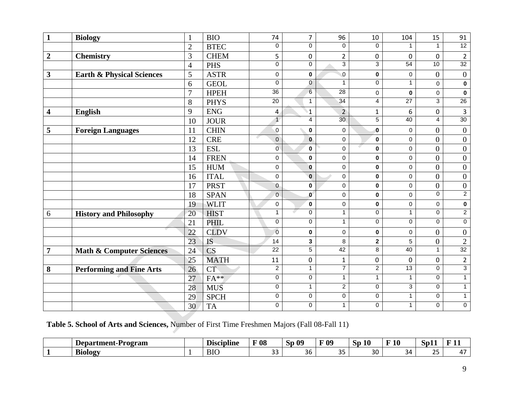| $\mathbf{1}$     | <b>Biology</b>                       | $\mathbf{1}$   | <b>BIO</b>  | 74              | $\overline{7}$   | 96               | 10             | 104              | 15             | 91               |
|------------------|--------------------------------------|----------------|-------------|-----------------|------------------|------------------|----------------|------------------|----------------|------------------|
|                  |                                      | $\overline{2}$ | <b>BTEC</b> | $\mathbf 0$     | $\Omega$         | 0                | $\mathbf 0$    | $\mathbf{1}$     | $\mathbf{1}$   | 12               |
| $\boldsymbol{2}$ | <b>Chemistry</b>                     | 3              | <b>CHEM</b> | 5               | $\pmb{0}$        | $\overline{2}$   | $\pmb{0}$      | 0                | 0              | $\overline{2}$   |
|                  |                                      | $\overline{4}$ | <b>PHS</b>  | $\overline{0}$  | $\overline{0}$   | $\overline{3}$   | 3              | 54               | 10             | 32               |
| 3                | <b>Earth &amp; Physical Sciences</b> | 5              | <b>ASTR</b> | 0               | $\pmb{0}$        | $\pmb{0}$        | $\pmb{0}$      | $\pmb{0}$        | $\overline{0}$ | $\boldsymbol{0}$ |
|                  |                                      | 6              | <b>GEOL</b> | $\Omega$        | $\overline{0}$   | $\mathbf{1}$     | $\Omega$       | $\mathbf{1}$     | $\Omega$       | $\pmb{0}$        |
|                  |                                      | 7              | <b>HPEH</b> | $\overline{36}$ | $6 \overline{6}$ | $\overline{28}$  | 0              | 0                | 0              | $\bf{0}$         |
|                  |                                      | 8              | <b>PHYS</b> | 20              | $\mathbf{1}$     | 34               | $\overline{4}$ | $\overline{27}$  | 3              | 26               |
| 4                | English                              | 9              | <b>ENG</b>  | $\overline{4}$  | $\mathbf{1}$     | $\overline{2}$   | $\mathbf{1}$   | 6                | 0              | $\overline{3}$   |
|                  |                                      | 10             | <b>JOUR</b> | $\overline{1}$  | $\overline{4}$   | 30               | $\overline{5}$ | 40               | $\overline{4}$ | 30               |
| 5                | <b>Foreign Languages</b>             | 11             | <b>CHIN</b> | $\pmb{0}$       | $\bf{0}$         | 0                | $\bf{0}$       | 0                | $\overline{0}$ | $\boldsymbol{0}$ |
|                  |                                      | 12             | <b>CRE</b>  | $\mathbf 0$     | $\mathbf 0$      | $\pmb{0}$        | $\mathbf 0$    | $\boldsymbol{0}$ | $\overline{0}$ | $\boldsymbol{0}$ |
|                  |                                      | 13             | <b>ESL</b>  | Ō               | $\bf{0}$         | 0                | $\bf{0}$       | $\mathbf 0$      | $\overline{0}$ | $\boldsymbol{0}$ |
|                  |                                      | 14             | <b>FREN</b> | 0               | $\mathbf 0$      | $\mathbf 0$      | $\bf{0}$       | $\boldsymbol{0}$ | $\overline{0}$ | $\boldsymbol{0}$ |
|                  |                                      | 15             | <b>HUM</b>  | 0               | $\bf{0}$         | $\mathbf 0$      | $\pmb{0}$      | $\pmb{0}$        | $\overline{0}$ | $\boldsymbol{0}$ |
|                  |                                      | 16             | <b>ITAL</b> | 0               | $\mathbf 0$      | $\pmb{0}$        | $\bf{0}$       | $\boldsymbol{0}$ | $\overline{0}$ | $\boldsymbol{0}$ |
|                  |                                      | 17             | <b>PRST</b> | 0               | $\mathbf 0$      | $\mathbf 0$      | $\mathbf 0$    | $\pmb{0}$        | $\overline{0}$ | $\boldsymbol{0}$ |
|                  |                                      | 18             | <b>SPAN</b> | $\mathbf 0$     | $\mathbf 0$      | $\mathbf 0$      | $\bf{0}$       | $\mathbf 0$      | $\Omega$       | $\overline{2}$   |
|                  |                                      | 19             | <b>WLIT</b> | 0               | $\mathbf 0$      | 0                | $\pmb{0}$      | $\pmb{0}$        | 0              | $\pmb{0}$        |
| 6                | <b>History and Philosophy</b>        | 20             | <b>HIST</b> | $\mathbf{1}$    | 0                | $\mathbf{1}$     | 0              | $\mathbf{1}$     | 0              | $\overline{2}$   |
|                  |                                      | 21             | <b>PHIL</b> | 0               | $\mathbf 0$      | $\overline{1}$   | 0              | $\overline{0}$   | $\Omega$       | $\overline{0}$   |
|                  |                                      | 22             | <b>CLDV</b> | $\overline{0}$  | $\mathbf 0$      | 0                | $\mathbf 0$    | $\mathbf 0$      | $\theta$       | $\boldsymbol{0}$ |
|                  |                                      | 23             | IS          | 14              | 3                | 8                | $\mathbf{2}$   | 5                | $\overline{0}$ | $\sqrt{2}$       |
| $\overline{7}$   | <b>Math &amp; Computer Sciences</b>  | 24             | CS          | $\overline{22}$ | $\overline{5}$   | 42               | 8              | 40               | $\mathbf{1}$   | $\frac{1}{32}$   |
|                  |                                      | 25             | <b>MATH</b> | 11              | 0                | $\mathbf{1}$     | $\pmb{0}$      | 0                | 0              | $\overline{2}$   |
| 8                | <b>Performing and Fine Arts</b>      | 26             | <b>CT</b>   | $\overline{2}$  | $\mathbf{1}$     | $\overline{7}$   | $\overline{2}$ | 13               | $\Omega$       | $\overline{3}$   |
|                  |                                      | 27             | $FA**$      | $\pmb{0}$       | 0                | $\mathbf{1}$     | $\mathbf{1}$   | $\mathbf{1}$     | $\Omega$       | $\mathbf{1}$     |
|                  |                                      | 28             | <b>MUS</b>  | $\mathbf 0$     | $\mathbf{1}$     | $\boldsymbol{2}$ | $\pmb{0}$      | 3                | $\Omega$       | $\mathbf{1}$     |
|                  |                                      | 29             | <b>SPCH</b> | $\pmb{0}$       | 0                | 0                | 0              | $\mathbf{1}$     | 0              | $\mathbf{1}$     |
|                  |                                      | 30             | <b>TA</b>   | $\mathbf 0$     | $\pmb{0}$        | $\mathbf{1}$     | 0              | $\mathbf{1}$     | $\Omega$       | $\pmb{0}$        |

**Table 5. School of Arts and Sciences,** Number of First Time Freshmen Majors (Fall 08-Fall 11)

| Department-<br>-Program | <b>Discipl</b><br>ane | 08           | -09<br>שפ           | 09<br>. .    | 10 O<br>Sр | $\mathbf{A}$<br>н<br>1V<br>- | -<br>IJΜ               | -<br>--<br>-             |
|-------------------------|-----------------------|--------------|---------------------|--------------|------------|------------------------------|------------------------|--------------------------|
| <b>Biology</b>          | <b>BIC</b>            | $\sim$<br>-- | $\sim$ $\sim$<br>36 | $\cap$<br>-- | 30         | ≺⊿<br>-                      | $\sim$ $-$<br><u>.</u> | $\overline{\phantom{a}}$ |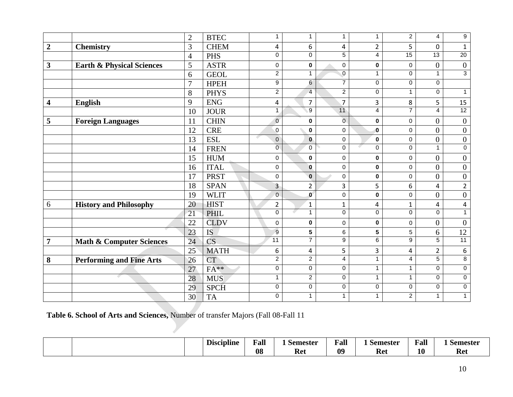|                         |                                      | $\overline{2}$ | <b>BTEC</b>            | $\mathbf{1}$     | $\mathbf{1}$   | $\mathbf{1}$   | 1                       | $\overline{2}$   | 4                | 9                   |
|-------------------------|--------------------------------------|----------------|------------------------|------------------|----------------|----------------|-------------------------|------------------|------------------|---------------------|
| $\overline{2}$          | <b>Chemistry</b>                     | 3              | <b>CHEM</b>            | 4                | 6              | 4              | $\overline{2}$          | 5                | 0                | $\mathbf 1$         |
|                         |                                      | $\overline{4}$ | <b>PHS</b>             | $\Omega$         | $\Omega$       | 5              | 4                       | 15               | $\overline{13}$  | $\overline{20}$     |
| $\mathbf{3}$            | <b>Earth &amp; Physical Sciences</b> | 5              | <b>ASTR</b>            | 0                | $\bf{0}$       | 0              | 0                       | 0                | $\overline{0}$   | $\boldsymbol{0}$    |
|                         |                                      | 6              | <b>GEOL</b>            | $\overline{2}$   | $\mathbf{1}$   | $\mathbf 0$    | $\mathbf{1}$            | $\mathbf 0$      | $\mathbf{1}$     | $\overline{3}$      |
|                         |                                      | $\overline{7}$ | <b>HPEH</b>            | $\boldsymbol{9}$ | $6 \,$         | $\overline{7}$ | $\pmb{0}$               | $\pmb{0}$        | 0                |                     |
|                         |                                      | 8              | <b>PHYS</b>            | $\overline{2}$   | $\overline{4}$ | $\overline{2}$ | 0                       | $\mathbf{1}$     | 0                | $\mathbf{1}$        |
| $\overline{\mathbf{4}}$ | <b>English</b>                       | 9              | <b>ENG</b>             | 4                | $\overline{7}$ | $\overline{7}$ | 3                       | 8                | 5                | 15                  |
|                         |                                      | 10             | <b>JOUR</b>            | $\mathbf{1}$     | $\overline{9}$ | 11             | $\overline{4}$          | $\overline{7}$   | $\overline{4}$   | 12                  |
| 5                       | <b>Foreign Languages</b>             | 11             | <b>CHIN</b>            | $\mathbf 0$      | $\mathbf 0$    | $\overline{0}$ | $\bf{0}$                | $\boldsymbol{0}$ | $\overline{0}$   | $\boldsymbol{0}$    |
|                         |                                      | 12             | <b>CRE</b>             | 0                | $\bf{0}$       | $\mathbf 0$    | $\bf{0}$                | $\mathbf 0$      | $\boldsymbol{0}$ | $\boldsymbol{0}$    |
|                         |                                      | 13             | <b>ESL</b>             | $\mathsf 0$      | $\pmb{0}$      | $\mathsf 0$    | $\pmb{0}$               | $\pmb{0}$        | $\boldsymbol{0}$ | $\boldsymbol{0}$    |
|                         |                                      | 14             | <b>FREN</b>            | $\overline{0}$   | $\mathbf 0$    | $\mathbf 0$    | $\mathbf 0$             | $\pmb{0}$        | 1                | $\overline{0}$      |
|                         |                                      | 15             | <b>HUM</b>             | 0                | $\pmb{0}$      | 0              | $\pmb{0}$               | $\pmb{0}$        | $\overline{0}$   | $\boldsymbol{0}$    |
|                         |                                      | 16             | <b>ITAL</b>            | 0                | $\mathbf{0}$   | 0              | $\bf{0}$                | $\mathbf 0$      | $\overline{0}$   | $\boldsymbol{0}$    |
|                         |                                      | 17             | <b>PRST</b>            | 0                | $\mathbf{0}$   | 0              | 0                       | 0                | $\overline{0}$   | $\boldsymbol{0}$    |
|                         |                                      | 18             | <b>SPAN</b>            | $\overline{3}$   | $\overline{2}$ | 3              | 5                       | 6                | 4                | $\overline{2}$      |
|                         |                                      | 19             | <b>WLIT</b>            | $\mathbf 0$      | $\mathbf 0$    | $\mathbf 0$    | $\mathbf 0$             | $\mathbf 0$      | $\overline{0}$   | $\boldsymbol{0}$    |
| 6                       | <b>History and Philosophy</b>        | 20             | <b>HIST</b>            | $\overline{2}$   | $\mathbf{1}$   | $\mathbf{1}$   | 4                       | $\mathbf{1}$     | 4                | 4                   |
|                         |                                      | 21             | PHIL                   | $\overline{0}$   | $\mathbf{1}$   | $\overline{0}$ | $\overline{0}$          | $\overline{0}$   | 0                | $\mathbf{1}$        |
|                         |                                      | 22             | <b>CLDV</b>            | 0                | $\pmb{0}$      | 0              | $\pmb{0}$               | $\pmb{0}$        | $\overline{0}$   | $\boldsymbol{0}$    |
|                         |                                      | 23             | <b>IS</b>              | $\overline{9}$   | $5\phantom{a}$ | 6              | $\overline{\mathbf{5}}$ | 5                | 6                | 12                  |
| $\overline{7}$          | <b>Math &amp; Computer Sciences</b>  | 24             | $\overline{\text{CS}}$ | $\overline{11}$  | $\overline{7}$ | 9              | 6                       | 9                | 5                | 11                  |
|                         |                                      | 25             | <b>MATH</b>            | 6                | 4              | 5              | 3                       | 4                | $\overline{2}$   | $\boldsymbol{6}$    |
| $\boldsymbol{8}$        | <b>Performing and Fine Arts</b>      | 26             | <b>CT</b>              | $\overline{2}$   | $\overline{2}$ | 4              | $\mathbf{1}$            | $\overline{4}$   | $\overline{5}$   | $\overline{8}$      |
|                         |                                      | 27             | $FA**$                 | 0                | $\mathbf 0$    | $\mathbf 0$    | $\mathbf{1}$            | $\mathbf{1}$     | $\Omega$         | $\mathbf 0$         |
|                         | e e                                  | 28             | <b>MUS</b>             | $\mathbf{1}$     | $\overline{c}$ | $\pmb{0}$      | $\mathbf{1}$            | $\mathbf{1}$     | 0                | $\mathsf{O}\xspace$ |
|                         |                                      | 29             | <b>SPCH</b>            | $\pmb{0}$        | $\pmb{0}$      | 0              | 0                       | $\mathbf 0$      | 0                | $\pmb{0}$           |
|                         |                                      | 30             | <b>TA</b>              | $\mathbf 0$      | 1              | $\mathbf{1}$   | 1                       | $\overline{c}$   | 1                | $\mathbf{1}$        |

**Table 6. School of Arts and Sciences,** Number of transfer Majors (Fall 08-Fall 11

|  | . .<br><i>Discipline</i> | Fall | <b>Semester</b> | $\mathbf{v}$<br><b>Fal</b> | Semester  | $\sim$<br>Fall | Semester |
|--|--------------------------|------|-----------------|----------------------------|-----------|----------------|----------|
|  |                          | 08   | KΔ<br>мч        | 09                         | הי<br>nci | 10             | Ret      |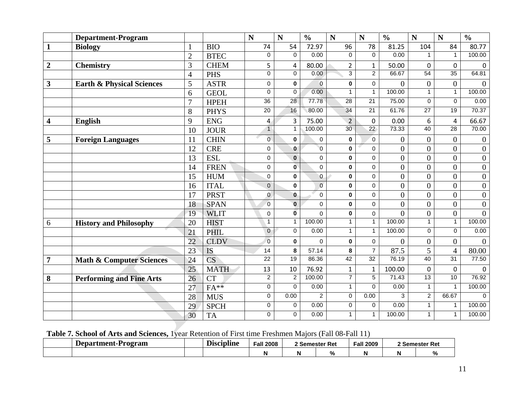|                         | <b>Department-Program</b>            |                 |                        | $\mathbf N$     | $\mathbf N$         | $\frac{0}{0}$  | N               | N               | $\frac{0}{0}$    | $\mathbf N$      | N               | $\frac{0}{0}$    |
|-------------------------|--------------------------------------|-----------------|------------------------|-----------------|---------------------|----------------|-----------------|-----------------|------------------|------------------|-----------------|------------------|
| $\mathbf{1}$            | <b>Biology</b>                       |                 | <b>BIO</b>             | 74              | 54                  | 72.97          | 96              | 78              | 81.25            | 104              | 84              | 80.77            |
|                         |                                      | $\overline{2}$  | <b>BTEC</b>            | $\mathbf 0$     | 0                   | 0.00           | $\Omega$        | $\Omega$        | 0.00             | $\mathbf{1}$     | $\mathbf{1}$    | 100.00           |
| $\boldsymbol{2}$        | <b>Chemistry</b>                     | $\overline{3}$  | <b>CHEM</b>            | 5               | 4                   | 80.00          | $\overline{2}$  | $\mathbf{1}$    | 50.00            | $\overline{0}$   | $\overline{0}$  | $\mathbf 0$      |
|                         |                                      | $\overline{4}$  | <b>PHS</b>             | $\mathbf 0$     | $\overline{0}$      | 0.00           | $\overline{3}$  | $\overline{2}$  | 66.67            | 54               | $\overline{35}$ | 64.81            |
| $\mathbf{3}$            | <b>Earth &amp; Physical Sciences</b> | 5               | <b>ASTR</b>            | $\mathbf 0$     | 0                   | $\overline{0}$ | 0               | $\mathbf 0$     | $\overline{0}$   | $\boldsymbol{0}$ | $\overline{0}$  | $\mathbf{0}$     |
|                         |                                      | 6               | <b>GEOL</b>            | $\Omega$        | $\mathbf 0$         | 0.00           | $\mathbf{1}$    | $\mathbf{1}$    | 100.00           | $\mathbf{1}$     | $\mathbf{1}$    | 100.00           |
|                         |                                      | $\overline{7}$  | <b>HPEH</b>            | 36              | 28                  | 77.78          | 28              | 21              | 75.00            | $\pmb{0}$        | $\mathbf 0$     | 0.00             |
|                         |                                      | 8               | <b>PHYS</b>            | $\overline{20}$ | 16                  | 80.00          | $\overline{34}$ | 21              | 61.76            | $\overline{27}$  | $\overline{19}$ | 70.37            |
| $\overline{\mathbf{4}}$ | <b>English</b>                       | 9               | <b>ENG</b>             | 4               | $\overline{3}$      | 75.00          | $\overline{2}$  | $\overline{0}$  | 0.00             | $\boldsymbol{6}$ | 4               | 66.67            |
|                         |                                      | 10              | <b>JOUR</b>            | $\mathbf{1}$    | $\mathbf{1}$        | 100.00         | 30              | $\overline{22}$ | 73.33            | 40               | $\overline{28}$ | 70.00            |
| 5                       | <b>Foreign Languages</b>             | 11              | <b>CHIN</b>            | $\overline{0}$  | 0                   | $\pmb{0}$      | $\pmb{0}$       | $\overline{0}$  | $\boldsymbol{0}$ | $\boldsymbol{0}$ | $\overline{0}$  | $\boldsymbol{0}$ |
|                         |                                      | 12              | <b>CRE</b>             | $\mathbf 0$     | $\mathbf{0}$        | $\overline{0}$ | 0               | 0               | $\overline{0}$   | $\overline{0}$   | $\overline{0}$  | $\boldsymbol{0}$ |
|                         |                                      | 13              | <b>ESL</b>             | $\mathbf 0$     | $\mathbf 0$         | $\mathbf 0$    | 0               | $\mathbf 0$     | $\overline{0}$   | $\overline{0}$   | $\overline{0}$  | $\boldsymbol{0}$ |
|                         |                                      | 14              | <b>FREN</b>            | $\mathbf 0$     | $\mathbf{0}$        | $\mathbf 0$    | $\pmb{0}$       | $\mathbf 0$     | $\overline{0}$   | $\overline{0}$   | $\overline{0}$  | $\boldsymbol{0}$ |
|                         |                                      | 15              | <b>HUM</b>             | $\mathbf 0$     | 0                   | 0              | 0               | $\Omega$        | $\overline{0}$   | $\overline{0}$   | $\overline{0}$  | $\boldsymbol{0}$ |
|                         |                                      | 16              | <b>ITAL</b>            | $\mathbf 0$     | 0                   | $\mathbf 0$    | $\mathbf 0$     | $\mathbf 0$     | $\overline{0}$   | $\overline{0}$   | $\overline{0}$  | $\boldsymbol{0}$ |
|                         |                                      | 17              | <b>PRST</b>            | $\mathbf 0$     | $\mathbf{0}$        | $\mathbf 0$    | $\pmb{0}$       | 0               | $\overline{0}$   | $\boldsymbol{0}$ | $\overline{0}$  | $\boldsymbol{0}$ |
|                         |                                      | 18              | <b>SPAN</b>            | $\Omega$        | $\mathbf{0}$        | $\Omega$       | $\mathbf{0}$    | $\Omega$        | $\overline{0}$   | $\overline{0}$   | $\theta$        | $\overline{0}$   |
|                         |                                      | 19              | <b>WLIT</b>            | $\mathbf 0$     | $\overline{0}$      | $\mathbf 0$    | $\pmb{0}$       | $\mathbf 0$     | $\overline{0}$   | $\overline{0}$   | $\overline{0}$  | $\overline{0}$   |
| 6                       | <b>History and Philosophy</b>        | 20              | <b>HIST</b>            | $\mathbf{1}$    | $\mathbf{1}$        | 100.00         | $\mathbf{1}$    | $\mathbf{1}$    | 100.00           | $\mathbf{1}$     | $\mathbf{1}$    | 100.00           |
|                         |                                      | 21              | PHIL                   | $\mathbf 0$     | $\mathbf 0$         | 0.00           | $\mathbf{1}$    | $\mathbf{1}$    | 100.00           | $\mathbf 0$      | $\Omega$        | 0.00             |
|                         |                                      | $\overline{22}$ | <b>CLDV</b>            | $\mathbf 0$     | 0                   | $\Omega$       | $\pmb{0}$       | $\mathbf 0$     | $\theta$         | $\boldsymbol{0}$ | $\overline{0}$  | $\theta$         |
|                         |                                      | 23              | <b>IS</b>              | 14              | 8                   | 57.14          | 8               | $\overline{7}$  | 87.5             | 5                | $\overline{4}$  | 80.00            |
| $\overline{7}$          | <b>Math &amp; Computer Sciences</b>  | 24              | $\overline{\text{CS}}$ | $\overline{22}$ | 19                  | 86.36          | 42              | 32              | 76.19            | 40               | 31              | 77.50            |
|                         |                                      | 25              | <b>MATH</b>            | 13              | 10                  | 76.92          | $\mathbf{1}$    | $\mathbf{1}$    | 100.00           | $\mathbf 0$      | $\mathbf 0$     | $\mathbf 0$      |
| 8                       | <b>Performing and Fine Arts</b>      | 26              | <b>CT</b>              | $\overline{2}$  | $\overline{2}$      | 100.00         | $\overline{7}$  | $\overline{5}$  | 71.43            | 13               | 10              | 76.92            |
|                         |                                      | 27              | $FA**$                 | 0               | $\mathbf 0$         | 0.00           | $\mathbf{1}$    | $\Omega$        | 0.00             | $\mathbf{1}$     | 1               | 100.00           |
|                         |                                      | 28              | <b>MUS</b>             | $\overline{0}$  | 0.00                | $\overline{2}$ | $\overline{0}$  | 0.00            | $\overline{3}$   | $\overline{2}$   | 66.67           | $\Omega$         |
|                         |                                      | 29              | <b>SPCH</b>            | $\mathbf 0$     | 0                   | 0.00           | 0               | $\mathbf 0$     | 0.00             | $\mathbf{1}$     | $\mathbf{1}$    | 100.00           |
|                         |                                      | 30              | <b>TA</b>              | 0               | $\mathsf{O}\xspace$ | 0.00           | $\mathbf{1}$    | $\mathbf{1}$    | 100.00           | $\mathbf{1}$     | 1               | 100.00           |

# **Table 7. School of Arts and Sciences,** 1year Retention of First time Freshmen Majors (Fall 08-Fall 11)

| Department-Program | . .<br>T.<br><b>Discipline</b> | <b>Fall 2008</b> | 2 Semester Ret |                    | <b>Fall 2009</b> | 2 Semester Ret |
|--------------------|--------------------------------|------------------|----------------|--------------------|------------------|----------------|
|                    |                                | N                |                | $\mathbf{0}$<br>70 |                  |                |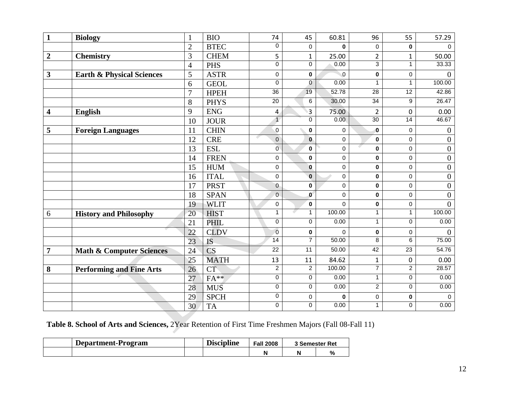| $\mathbf{1}$            | <b>Biology</b>                       | $\mathbf{1}$    | <b>BIO</b>  | 74              | 45                  | 60.81       | 96              | 55              | 57.29               |
|-------------------------|--------------------------------------|-----------------|-------------|-----------------|---------------------|-------------|-----------------|-----------------|---------------------|
|                         |                                      | $\overline{2}$  | <b>BTEC</b> | $\pmb{0}$       | $\mathsf{O}\xspace$ | $\mathbf 0$ | 0               | $\mathbf 0$     | $\mathbf 0$         |
| $\overline{2}$          | <b>Chemistry</b>                     | 3               | <b>CHEM</b> | 5               | $\mathbf{1}$        | 25.00       | $\overline{2}$  | $\mathbf{1}$    | 50.00               |
|                         |                                      | $\overline{4}$  | <b>PHS</b>  | $\overline{0}$  | $\overline{0}$      | 0.00        | $\overline{3}$  | $\mathbf{1}$    | 33.33               |
| $\mathbf{3}$            | <b>Earth &amp; Physical Sciences</b> | 5               | <b>ASTR</b> | $\pmb{0}$       | $\pmb{0}$           | $\mathbf 0$ | $\mathbf 0$     | $\pmb{0}$       | $\mathbf{0}$        |
|                         |                                      | 6               | <b>GEOL</b> | $\mathbf 0$     | $\mathbf{0}$        | 0.00        | $\mathbf{1}$    | $\mathbf{1}$    | 100.00              |
|                         |                                      | $\overline{7}$  | <b>HPEH</b> | $\overline{36}$ | 19                  | 52.78       | 28              | 12              | 42.86               |
|                         |                                      | 8               | <b>PHYS</b> | $\overline{20}$ | 6                   | 30.00       | 34              | 9               | 26.47               |
| $\overline{\mathbf{4}}$ | <b>English</b>                       | 9               | ${\rm ENG}$ | $\overline{4}$  | 3                   | 75.00       | $\overline{2}$  | $\mathbf 0$     | 0.00                |
|                         |                                      | 10              | <b>JOUR</b> | $\overline{1}$  | 0                   | 0.00        | $\overline{30}$ | $\overline{14}$ | 46.67               |
| 5                       | <b>Foreign Languages</b>             | 11              | <b>CHIN</b> | $\pmb{0}$       | 0                   | 0           | $\bf{0}$        | 0               | $\boldsymbol{0}$    |
|                         |                                      | 12              | <b>CRE</b>  | $\mathsf 0$     | $\mathbf 0$         | $\mathbf 0$ | $\mathbf 0$     | $\pmb{0}$       | $\overline{0}$      |
|                         |                                      | 13              | <b>ESL</b>  | Ō               | $\pmb{0}$           | $\pmb{0}$   | 0               | 0               | $\boldsymbol{0}$    |
|                         |                                      | 14              | <b>FREN</b> | $\pmb{0}$       | $\pmb{0}$           | $\pmb{0}$   | $\mathbf 0$     | $\mathbf 0$     | $\boldsymbol{0}$    |
|                         |                                      | 15              | <b>HUM</b>  | $\pmb{0}$       | $\mathbf 0$         | $\pmb{0}$   | 0               | 0               | $\boldsymbol{0}$    |
|                         |                                      | 16              | <b>ITAL</b> | 0               | $\mathbf 0$         | $\mathbf 0$ | $\mathbf 0$     | 0               | $\boldsymbol{0}$    |
|                         |                                      | 17              | <b>PRST</b> | 0               | $\pmb{0}$           | $\pmb{0}$   | $\pmb{0}$       | $\pmb{0}$       | $\boldsymbol{0}$    |
|                         |                                      | 18              | <b>SPAN</b> | $\mathbf 0$     | $\mathbf 0$         | $\pmb{0}$   | $\bf{0}$        | $\mathbf 0$     | $\boldsymbol{0}$    |
|                         |                                      | 19              | <b>WLIT</b> | $\pmb{0}$       | $\pmb{0}$           | $\mathbf 0$ | $\pmb{0}$       | $\pmb{0}$       | $\overline{0}$      |
| $6\,$                   | <b>History and Philosophy</b>        | 20              | <b>HIST</b> | $\overline{1}$  | $\mathbf{1}$        | 100.00      | $\mathbf{1}$    | $\mathbf{1}$    | 100.00              |
|                         |                                      | 21              | <b>PHIL</b> | $\pmb{0}$       | $\pmb{0}$           | 0.00        | $\mathbf{1}$    | $\mathbf 0$     | 0.00                |
|                         |                                      | 22              | <b>CLDV</b> | $\overline{0}$  | 0                   | $\mathbf 0$ | 0               | $\mathbf 0$     | $\overline{0}$      |
|                         |                                      | $\overline{23}$ | <b>IS</b>   | 14              | $\overline{7}$      | 50.00       | $\overline{8}$  | $\overline{6}$  | 75.00               |
| $\overline{7}$          | <b>Math &amp; Computer Sciences</b>  | 24              | <b>CS</b>   | 22              | 11                  | 50.00       | 42              | 23              | 54.76               |
|                         |                                      | 25              | <b>MATH</b> | 13              | 11                  | 84.62       | $\mathbf{1}$    | $\mathbf 0$     | 0.00                |
| 8                       | <b>Performing and Fine Arts</b>      | 26              | <b>CT</b>   | $\overline{2}$  | $\overline{2}$      | 100.00      | $\overline{7}$  | $\overline{2}$  | 28.57               |
|                         |                                      | 27              | $FA**$      | $\pmb{0}$       | $\pmb{0}$           | 0.00        | $\mathbf{1}$    | $\pmb{0}$       | 0.00                |
|                         |                                      | 28              | <b>MUS</b>  | $\pmb{0}$       | $\pmb{0}$           | 0.00        | $\overline{a}$  | $\pmb{0}$       | 0.00                |
|                         |                                      | 29              | <b>SPCH</b> | $\pmb{0}$       | $\mathsf{O}\xspace$ | $\pmb{0}$   | 0               | $\pmb{0}$       | $\mathsf{O}\xspace$ |
|                         |                                      | 30              | <b>TA</b>   | $\pmb{0}$       | $\pmb{0}$           | 0.00        | $\mathbf{1}$    | 0               | 0.00                |

**Table 8. School of Arts and Sciences,** 2Year Retention of First Time Freshmen Majors (Fall 08-Fall 11)

| <b>Department-Program</b> | <br>Discipline | <b>Fall 2008</b> | <b>3 Semester Ret</b> |   |
|---------------------------|----------------|------------------|-----------------------|---|
|                           |                |                  |                       | % |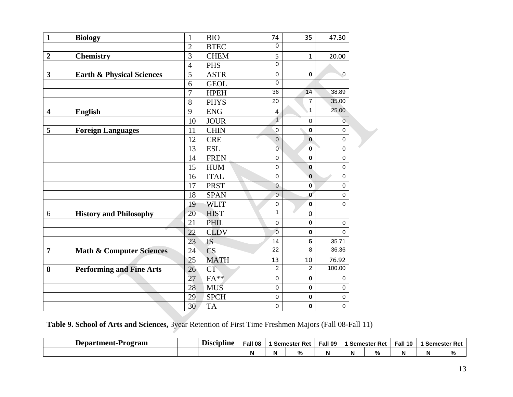| $\mathbf{1}$            | <b>Biology</b>                       | $\mathbf{1}$   | <b>BIO</b>  | 74              | 35             | 47.30          |
|-------------------------|--------------------------------------|----------------|-------------|-----------------|----------------|----------------|
|                         |                                      | $\overline{2}$ | <b>BTEC</b> | $\mathbf 0$     |                |                |
| $\overline{2}$          | <b>Chemistry</b>                     | 3              | <b>CHEM</b> | 5               | $\mathbf{1}$   | 20.00          |
|                         |                                      | $\overline{4}$ | <b>PHS</b>  | $\Omega$        |                |                |
| $\overline{\mathbf{3}}$ | <b>Earth &amp; Physical Sciences</b> | 5              | <b>ASTR</b> | $\mathbf 0$     | $\mathbf 0$    | $\overline{0}$ |
|                         |                                      | 6              | <b>GEOL</b> | $\mathbf 0$     |                |                |
|                         |                                      | $\overline{7}$ | <b>HPEH</b> | 36              | 14             | 38.89          |
|                         |                                      | 8              | <b>PHYS</b> | $\overline{20}$ | $\overline{7}$ | 35.00          |
| $\overline{\mathbf{4}}$ | <b>English</b>                       | 9              | <b>ENG</b>  | 4               | $\mathbf{1}$   | 25.00          |
|                         |                                      | 10             | <b>JOUR</b> | $\overline{1}$  | $\mathbf 0$    | $\overline{0}$ |
| 5                       | <b>Foreign Languages</b>             | 11             | <b>CHIN</b> | $\pmb{0}$       | $\mathbf 0$    | $\pmb{0}$      |
|                         |                                      | 12             | <b>CRE</b>  | $\overline{0}$  | $\bf{0}$       | $\pmb{0}$      |
|                         |                                      | 13             | <b>ESL</b>  | $\overline{0}$  | $\mathbf 0$    | 0              |
|                         |                                      | 14             | <b>FREN</b> | $\pmb{0}$       | $\bf{0}$       | 0              |
|                         |                                      | 15             | <b>HUM</b>  | $\pmb{0}$       | $\bf{0}$       | 0              |
|                         |                                      | 16             | <b>ITAL</b> | $\pmb{0}$       | $\bf{0}$       | $\pmb{0}$      |
|                         |                                      | 17             | <b>PRST</b> | $\overline{0}$  | $\mathbf 0$    | 0              |
|                         |                                      | 18             | <b>SPAN</b> | $\mathbf 0$     | $\mathbf{0}$   | 0              |
|                         |                                      | 19             | <b>WLIT</b> | $\pmb{0}$       | $\mathbf 0$    | 0              |
| 6                       | <b>History and Philosophy</b>        | 20             | <b>HIST</b> | 1               | $\mathbf 0$    |                |
|                         |                                      | 21             | <b>PHIL</b> | $\mathbf 0$     | $\mathbf 0$    | $\pmb{0}$      |
|                         |                                      | 22             | <b>CLDV</b> | $\overline{0}$  | $\bf{0}$       | $\mathbf 0$    |
|                         |                                      | 23             | <b>IS</b>   | 14              | 5              | 35.71          |
| $\overline{7}$          | <b>Math &amp; Computer Sciences</b>  | 24             | <b>CS</b>   | $\overline{22}$ | 8              | 36.36          |
|                         |                                      | 25             | <b>MATH</b> | 13              | 10             | 76.92          |
| 8                       | <b>Performing and Fine Arts</b>      | 26             | CT          | $\overline{2}$  | $\overline{c}$ | 100.00         |
|                         |                                      | 27             | $FA**$      | $\pmb{0}$       | $\mathbf 0$    | 0              |
|                         |                                      | 28             | <b>MUS</b>  | $\mathbf 0$     | $\mathbf 0$    | $\mathbf 0$    |
|                         |                                      | 29             | <b>SPCH</b> | $\mathbf 0$     | $\mathbf 0$    | 0              |
|                         |                                      | 30             | <b>TA</b>   | $\pmb{0}$       | $\mathbf 0$    | $\pmb{0}$      |

**Table 9. School of Arts and Sciences,** 3year Retention of First Time Freshmen Majors (Fall 08-Fall 11)

| Department-P<br>'rogram | Discipline | Fall 08 | Semester Ret | Fall 09 |   | Semester Ret       | Fall 10 | <b>Semester Ret</b> |
|-------------------------|------------|---------|--------------|---------|---|--------------------|---------|---------------------|
|                         |            | N       | 70           | N       | M | $\mathbf{a}$<br>7٥ | м.      | $^{\circ}$          |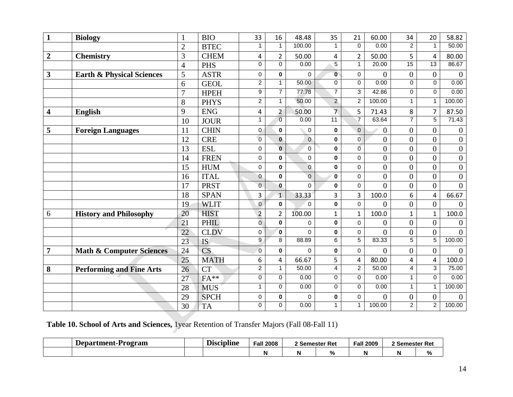| $\mathbf{1}$            | <b>Biology</b>                       | $\mathbf{1}$    | <b>BIO</b>             | 33               | 16             | 48.48          | 35                      | 21             | 60.00            | 34              | 20             | 58.82            |
|-------------------------|--------------------------------------|-----------------|------------------------|------------------|----------------|----------------|-------------------------|----------------|------------------|-----------------|----------------|------------------|
|                         |                                      | $\overline{2}$  | <b>BTEC</b>            | $\mathbf{1}$     | $\mathbf{1}$   | 100.00         | $\mathbf{1}$            | $\Omega$       | 0.00             | $\overline{2}$  | $\mathbf{1}$   | 50.00            |
| $\overline{2}$          | <b>Chemistry</b>                     | 3               | <b>CHEM</b>            | 4                | $\overline{2}$ | 50.00          | 4                       | $\overline{2}$ | 50.00            | 5               | 4              | 80.00            |
|                         |                                      | $\overline{4}$  | <b>PHS</b>             | 0                | $\overline{0}$ | 0.00           | $\overline{5}$          | $\mathbf{1}$   | 20.00            | $\overline{15}$ | 13             | 86.67            |
| $\mathbf{3}$            | <b>Earth &amp; Physical Sciences</b> | 5               | <b>ASTR</b>            | 0                | $\mathbf 0$    | 0              | $\mathbf{0}$            | $\pmb{0}$      | $\boldsymbol{0}$ | $\overline{0}$  | $\overline{0}$ | $\boldsymbol{0}$ |
|                         |                                      | 6               | <b>GEOL</b>            | $\overline{2}$   | $\mathbf{1}$   | 50.00          | $\overline{0}$          | $\mathbf 0$    | 0.00             | 0               | $\Omega$       | 0.00             |
|                         |                                      | $\overline{7}$  | <b>HPEH</b>            | $\boldsymbol{9}$ | $\overline{7}$ | 77.78          | $\overline{7}$          | 3              | 42.86            | $\mathbf 0$     | $\mathbf 0$    | 0.00             |
|                         |                                      | 8               | <b>PHYS</b>            | $\overline{2}$   | $\mathbf{1}$   | 50.00          | $\overline{2}$          | $\overline{2}$ | 100.00           | $\mathbf{1}$    | $\mathbf{1}$   | 100.00           |
| $\overline{\mathbf{4}}$ | <b>English</b>                       | 9               | <b>ENG</b>             | 4                | $\overline{2}$ | 50.00          | $\overline{7}$          | 5              | 71.43            | 8               | $\overline{7}$ | 87.50            |
|                         |                                      | 10              | <b>JOUR</b>            | $\mathbf{1}$     | $\overline{0}$ | 0.00           | $\overline{11}$         | $\overline{7}$ | 63.64            | $\overline{7}$  | $\overline{5}$ | 71.43            |
| 5                       | <b>Foreign Languages</b>             | 11              | <b>CHIN</b>            | $\mathbf{0}$     | $\mathbf 0$    | 0              | 0                       | $\mathbf 0$    | $\overline{0}$   | $\overline{0}$  | $\overline{0}$ | $\boldsymbol{0}$ |
|                         |                                      | 12              | <b>CRE</b>             | $\overline{0}$   | $\mathbf 0$    | $\overline{0}$ | 0                       | $\overline{0}$ | $\overline{0}$   | $\overline{0}$  | $\overline{0}$ | $\boldsymbol{0}$ |
|                         |                                      | 13              | <b>ESL</b>             | 0                | $\mathbf 0$    | $\mathbf 0$    | 0                       | $\overline{0}$ | $\overline{0}$   | $\overline{0}$  | $\theta$       | $\boldsymbol{0}$ |
|                         |                                      | 14              | <b>FREN</b>            | $\mathbf 0$      | 0              | $\mathbf 0$    | 0                       | $\mathbf 0$    | $\mathbf{0}$     | $\overline{0}$  | $\theta$       | $\boldsymbol{0}$ |
|                         |                                      | 15              | <b>HUM</b>             | $\pmb{0}$        | 0              | $\mathbf 0$    | 0                       | $\mathbf 0$    | $\boldsymbol{0}$ | $\overline{0}$  | $\overline{0}$ | $\boldsymbol{0}$ |
|                         |                                      | 16              | <b>ITAL</b>            | $\pmb{0}$        | 0              | $\overline{0}$ | $\mathbf{0}$            | $\mathbf 0$    | $\overline{0}$   | $\overline{0}$  | $\theta$       | $\overline{0}$   |
|                         |                                      | 17              | <b>PRST</b>            | $\overline{0}$   | 0              | $\Omega$       | 0                       | $\mathbf 0$    | $\overline{0}$   | $\overline{0}$  | $\overline{0}$ | $\overline{0}$   |
|                         |                                      | 18              | <b>SPAN</b>            | $\overline{3}$   | $\mathbf{1}$   | 33.33          | 3                       | 3              | 100.0            | 6               | 4              | 66.67            |
|                         |                                      | 19              | <b>WLIT</b>            | $\mathbf 0$      | $\mathbf 0$    | $\Omega$       | 0                       | $\mathbf 0$    | $\overline{0}$   | $\overline{0}$  | $\overline{0}$ | $\overline{0}$   |
| 6                       | <b>History and Philosophy</b>        | 20              | <b>HIST</b>            | $\overline{2}$   | $\overline{2}$ | 100.00         | $\mathbf{1}$            | $\mathbf{1}$   | 100.0            | $\mathbf{1}$    | $\mathbf{1}$   | 100.0            |
|                         |                                      | 21              | <b>PHIL</b>            | $\overline{0}$   | $\mathbf{0}$   | $\Omega$       | 0                       | $\Omega$       | $\overline{0}$   | $\overline{0}$  | $\overline{0}$ | $\theta$         |
|                         |                                      | 22              | <b>CLDV</b>            | 0                | $\mathbf{0}$   | $\Omega$       | 0                       | $\mathbf 0$    | $\overline{0}$   | $\overline{0}$  | $\overline{0}$ | $\overline{0}$   |
|                         |                                      | $\overline{23}$ | <b>IS</b>              | $\overline{9}$   | $\overline{8}$ | 88.89          | $\overline{6}$          | $\overline{5}$ | 83.33            | 5               | $\overline{5}$ | 100.00           |
| $\overline{7}$          | <b>Math &amp; Computer Sciences</b>  | 24              | $\overline{\text{CS}}$ | $\overline{0}$   | 0              | $\overline{0}$ | $\mathbf 0$             | $\mathbf 0$    | $\theta$         | $\overline{0}$  | $\Omega$       | $\overline{0}$   |
|                         |                                      | 25              | <b>MATH</b>            | 6                | 4              | 66.67          | 5                       | 4              | 80.00            | 4               | 4              | 100.0            |
| 8                       | <b>Performing and Fine Arts</b>      | 26              | <b>CT</b>              | $\overline{2}$   | $\mathbf{1}$   | 50.00          | $\overline{\mathbf{4}}$ | $\overline{2}$ | 50.00            | 4               | $\overline{3}$ | 75.00            |
|                         |                                      | 27              | $FA**$                 | 0                | 0              | 0.00           | $\pmb{0}$               | $\Omega$       | 0.00             | $\mathbf{1}$    | $\Omega$       | 0.00             |
|                         |                                      | 28              | <b>MUS</b>             | $\mathbf{1}$     | 0              | 0.00           | $\pmb{0}$               | 0              | 0.00             | $\mathbf{1}$    | $\mathbf{1}$   | 100.00           |
|                         |                                      | 29              | <b>SPCH</b>            | 0                | $\pmb{0}$      | 0              | $\pmb{0}$               | $\mathbf 0$    | $\overline{0}$   | $\overline{0}$  | $\overline{0}$ | $\overline{0}$   |
|                         |                                      | 30              | TA                     | 0                | 0              | 0.00           | $\mathbf{1}$            | $\mathbf{1}$   | 100.00           | $\overline{2}$  | $\overline{2}$ | 100.00           |

**Table 10. School of Arts and Sciences,** 1year Retention of Transfer Majors (Fall 08-Fall 11)

| Department-Program | - -<br>Discipline | Fall 2008 | 2 Semester Ret |                  | <b>Fall 2009</b> | 2 Semester Ret |                    |
|--------------------|-------------------|-----------|----------------|------------------|------------------|----------------|--------------------|
|                    |                   |           |                | $^{\circ}$<br>7٥ | N                |                | $\mathbf{a}$<br>70 |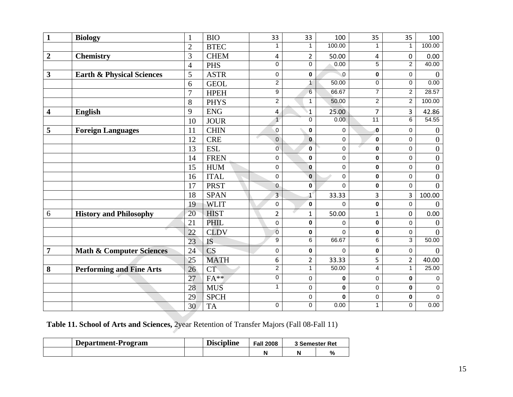| $\mathbf{1}$            | <b>Biology</b>                       | $\mathbf{1}$   | <b>BIO</b>  | 33             | 33             | 100         | 35                      | 35             | 100              |
|-------------------------|--------------------------------------|----------------|-------------|----------------|----------------|-------------|-------------------------|----------------|------------------|
|                         |                                      | $\overline{2}$ | <b>BTEC</b> |                |                | 100.00      | 1                       | $\mathbf{1}$   | 100.00           |
| $\boldsymbol{2}$        | <b>Chemistry</b>                     | 3              | <b>CHEM</b> | 4              | $\overline{2}$ | 50.00       | 4                       | $\pmb{0}$      | 0.00             |
|                         |                                      | $\overline{4}$ | <b>PHS</b>  | $\mathbf 0$    | $\overline{0}$ | 0.00        | $\overline{5}$          | $\overline{2}$ | 40.00            |
| $\mathbf{3}$            | <b>Earth &amp; Physical Sciences</b> | 5              | <b>ASTR</b> | $\mathsf 0$    | $\mathbf 0$    | $\mathbf 0$ | $\pmb{0}$               | $\pmb{0}$      | $\overline{0}$   |
|                         |                                      | 6              | <b>GEOL</b> | $\overline{2}$ | $\mathbf{1}$   | 50.00       | $\pmb{0}$               | 0              | 0.00             |
|                         |                                      | 7              | <b>HPEH</b> | 9              | $6 \,$         | 66.67       | 7                       | $\overline{2}$ | 28.57            |
|                         |                                      | 8              | <b>PHYS</b> | $\overline{2}$ | 1              | 50.00       | $\overline{2}$          | $\overline{c}$ | 100.00           |
| $\overline{\mathbf{4}}$ | <b>English</b>                       | 9              | <b>ENG</b>  | 4              | $\mathbf{1}$   | 25.00       | $\overline{7}$          | 3              | 42.86            |
|                         |                                      | 10             | <b>JOUR</b> | $\overline{1}$ | 0              | 0.00        | $\overline{11}$         | 6              | 54.55            |
| 5                       | <b>Foreign Languages</b>             | 11             | <b>CHIN</b> | $\mathbf 0$    | 0              | 0           | 0                       | 0              | $\boldsymbol{0}$ |
|                         |                                      | 12             | <b>CRE</b>  | $\overline{0}$ | $\mathbf 0$    | 0           | $\mathbf 0$             | 0              | $\boldsymbol{0}$ |
|                         |                                      | 13             | <b>ESL</b>  | $\overline{0}$ | 0              | 0           | 0                       | 0              | $\boldsymbol{0}$ |
|                         |                                      | 14             | <b>FREN</b> | $\mathbf 0$    | 0              | 0           | 0                       | 0              | $\boldsymbol{0}$ |
|                         |                                      | 15             | <b>HUM</b>  | $\mathbf 0$    | 0              | 0           | $\mathbf 0$             | 0              | $\boldsymbol{0}$ |
|                         |                                      | 16             | <b>ITAL</b> | $\mathbf 0$    | $\pmb{0}$      | 0           | $\pmb{0}$               | 0              | $\boldsymbol{0}$ |
|                         |                                      | 17             | <b>PRST</b> | $\overline{0}$ | $\pmb{0}$      | 0           | $\pmb{0}$               | 0              | $\overline{0}$   |
|                         |                                      | 18             | <b>SPAN</b> | 3              | $1^{\circ}$    | 33.33       | 3                       | 3              | 100.00           |
|                         |                                      | 19             | <b>WLIT</b> | $\mathbf 0$    | $\pmb{0}$      | 0           | $\pmb{0}$               | $\pmb{0}$      | $\theta$         |
| 6                       | <b>History and Philosophy</b>        | 20             | <b>HIST</b> | $\overline{2}$ | $\mathbf{1}$   | 50.00       | $\mathbf{1}$            | $\mathbf 0$    | 0.00             |
|                         |                                      | 21             | PHIL        | $\mathsf 0$    | $\pmb{0}$      | 0           | $\pmb{0}$               | $\mathbf 0$    | $\theta$         |
|                         |                                      | 22             | <b>CLDV</b> | $\overline{0}$ | 0              | 0           | 0                       | 0              | $\overline{0}$   |
|                         |                                      | 23             | <b>IS</b>   | $\overline{9}$ | $\overline{6}$ | 66.67       | $\overline{6}$          | $\overline{3}$ | 50.00            |
| $\overline{7}$          | <b>Math &amp; Computer Sciences</b>  | 24             | <b>CS</b>   | $\mathbf 0$    | 0              | 0           | $\pmb{0}$               | 0              | $\mathbf{0}$     |
|                         |                                      | 25             | <b>MATH</b> | 6              | $\overline{2}$ | 33.33       | 5                       | $\overline{2}$ | 40.00            |
| 8                       | <b>Performing and Fine Arts</b>      | 26             | <b>CT</b>   | $\overline{2}$ | $\mathbf{1}$   | 50.00       | $\overline{\mathbf{4}}$ | $\mathbf{1}$   | 25.00            |
|                         |                                      | 27             | $FA**$      | $\mathsf 0$    | 0              | 0           | $\mathsf 0$             | 0              | 0                |
|                         |                                      | 28             | <b>MUS</b>  | $\mathbf{1}$   | 0              | 0           | $\pmb{0}$               | $\mathbf 0$    | $\mathsf 0$      |
|                         |                                      | 29             | <b>SPCH</b> |                | 0              | 0           | $\mathsf 0$             | 0              | $\mathbf 0$      |
|                         |                                      | 30             | <b>TA</b>   | 0              | 0              | 0.00        | 1                       | 0              | 0.00             |

**Table 11. School of Arts and Sciences,** 2year Retention of Transfer Majors (Fall 08-Fall 11)

| Department-Program | <br><b>Discipline</b> | <b>Fall 2008</b> | 3 Semester Ret |   |
|--------------------|-----------------------|------------------|----------------|---|
|                    |                       |                  |                | % |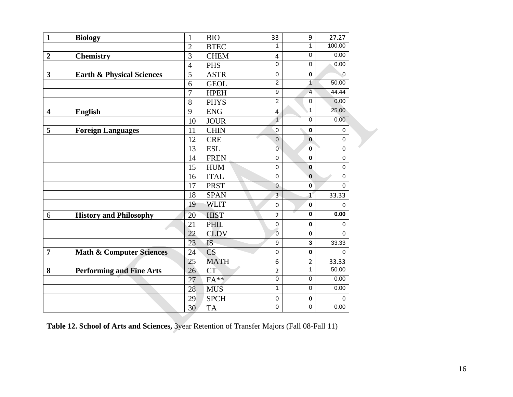| $\mathbf{1}$            | <b>Biology</b>                       | $\mathbf{1}$   | <b>BIO</b>  | 33               | 9                       | 27.27       |
|-------------------------|--------------------------------------|----------------|-------------|------------------|-------------------------|-------------|
|                         |                                      | $\overline{c}$ | <b>BTEC</b> | 1                | $\mathbf{1}$            | 100.00      |
| $\boldsymbol{2}$        | <b>Chemistry</b>                     | 3              | <b>CHEM</b> | 4                | $\pmb{0}$               | 0.00        |
|                         |                                      | $\overline{4}$ | <b>PHS</b>  | $\overline{0}$   | $\mathbf 0$             | 0.00        |
| $\mathbf{3}$            | <b>Earth &amp; Physical Sciences</b> | 5              | <b>ASTR</b> | $\mathbf 0$      | $\pmb{0}$               | $\mathbf 0$ |
|                         |                                      | 6              | <b>GEOL</b> | $\overline{2}$   | $\mathbf{1}$            | 50.00       |
|                         |                                      | $\overline{7}$ | <b>HPEH</b> | 9                | $\overline{4}$          | 44.44       |
|                         |                                      | 8              | <b>PHYS</b> | $\overline{2}$   | $\mathbf 0$             | 0.00        |
| $\overline{\mathbf{4}}$ | <b>English</b>                       | 9              | <b>ENG</b>  | 4                | $\mathbf{1}$            | 25.00       |
|                         |                                      | 10             | <b>JOUR</b> | $\overline{1}$   | $\pmb{0}$               | 0.00        |
| 5                       | <b>Foreign Languages</b>             | 11             | <b>CHIN</b> | $\pmb{0}$        | $\pmb{0}$               | 0           |
|                         |                                      | 12             | <b>CRE</b>  | G<br>$\mathbf 0$ | $\bf{0}$                | $\pmb{0}$   |
|                         |                                      | 13             | <b>ESL</b>  | $\overline{0}$   | $\bf{0}$                | $\mathbf 0$ |
|                         |                                      | 14             | <b>FREN</b> | $\mathbf 0$      | $\mathbf 0$             | $\mathbf 0$ |
|                         |                                      | 15             | <b>HUM</b>  | $\mathbf 0$      | $\bf{0}$                | $\mathbf 0$ |
|                         |                                      | 16             | <b>ITAL</b> | $\mathbf 0$      | $\mathbf 0$             | $\mathbf 0$ |
|                         |                                      | 17             | <b>PRST</b> | $\mathbf{0}$     | $\mathbf{0}$            | $\mathbf 0$ |
|                         |                                      | 18             | <b>SPAN</b> | 3                | $\mathbf{1}$            | 33.33       |
|                         |                                      | 19             | <b>WLIT</b> | $\mathbf 0$      | $\pmb{0}$               | 0           |
| 6                       | <b>History and Philosophy</b>        | 20             | <b>HIST</b> | $\overline{2}$   | $\overline{\mathbf{0}}$ | 0.00        |
|                         |                                      | 21             | <b>PHIL</b> | $\mathbf 0$      | $\mathbf 0$             | $\mathbf 0$ |
|                         |                                      | 22             | <b>CLDV</b> | $\mathbf 0$      | $\mathbf 0$             | $\Omega$    |
|                         |                                      | 23             | IS          | 9                | 3                       | 33.33       |
| $\overline{7}$          | <b>Math &amp; Computer Sciences</b>  | 24             | <b>CS</b>   | $\mathbf 0$      | $\bf{0}$                | $\Omega$    |
|                         |                                      | 25             | <b>MATH</b> | 6                | $\overline{2}$          | 33.33       |
| 8                       | <b>Performing and Fine Arts</b>      | 26             | <b>CT</b>   | $\overline{2}$   | $\mathbf{1}$            | 50.00       |
|                         |                                      | 27             | $FA**$      | $\overline{0}$   | $\pmb{0}$               | 0.00        |
|                         |                                      | 28             | <b>MUS</b>  | 1                | 0                       | 0.00        |
|                         |                                      | 29             | <b>SPCH</b> | $\mathbf 0$      | $\mathbf 0$             | $\Omega$    |
|                         |                                      | 30             | <b>TA</b>   | $\mathbf 0$      | 0                       | 0.00        |

**Table 12. School of Arts and Sciences,** 3year Retention of Transfer Majors (Fall 08-Fall 11)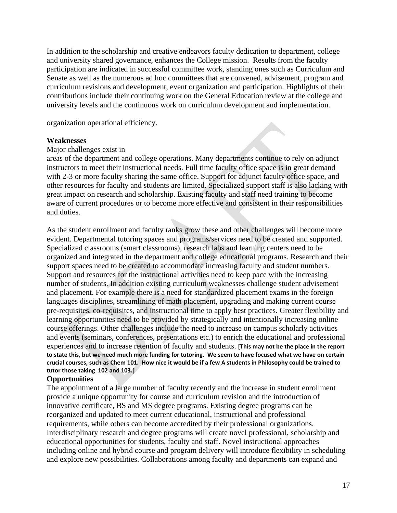In addition to the scholarship and creative endeavors faculty dedication to department, college and university shared governance, enhances the College mission. Results from the faculty participation are indicated in successful committee work, standing ones such as Curriculum and Senate as well as the numerous ad hoc committees that are convened, advisement, program and curriculum revisions and development, event organization and participation. Highlights of their contributions include their continuing work on the General Education review at the college and university levels and the continuous work on curriculum development and implementation.

organization operational efficiency.

#### **Weaknesses**

#### Major challenges exist in

areas of the department and college operations. Many departments continue to rely on adjunct instructors to meet their instructional needs. Full time faculty office space is in great demand with 2-3 or more faculty sharing the same office. Support for adjunct faculty office space, and other resources for faculty and students are limited. Specialized support staff is also lacking with great impact on research and scholarship. Existing faculty and staff need training to become aware of current procedures or to become more effective and consistent in their responsibilities and duties.

As the student enrollment and faculty ranks grow these and other challenges will become more evident. Departmental tutoring spaces and programs/services need to be created and supported. Specialized classrooms (smart classrooms), research labs and learning centers need to be organized and integrated in the department and college educational programs. Research and their support spaces need to be created to accommodate increasing faculty and student numbers. Support and resources for the instructional activities need to keep pace with the increasing number of students. In addition existing curriculum weaknesses challenge student advisement and placement. For example there is a need for standardized placement exams in the foreign languages disciplines, streamlining of math placement, upgrading and making current course pre-requisites, co-requisites, and instructional time to apply best practices. Greater flexibility and learning opportunities need to be provided by strategically and intentionally increasing online course offerings. Other challenges include the need to increase on campus scholarly activities and events (seminars, conferences, presentations etc.) to enrich the educational and professional experiences and to increase retention of faculty and students. **[This may not be the place in the report to state this, but we need much more funding for tutoring. We seem to have focused what we have on certain crucial courses, such as Chem 101. How nice it would be if a few A students in Philosophy could be trained to tutor those taking 102 and 103.]**

#### **Opportunities**

The appointment of a large number of faculty recently and the increase in student enrollment provide a unique opportunity for course and curriculum revision and the introduction of innovative certificate, BS and MS degree programs. Existing degree programs can be reorganized and updated to meet current educational, instructional and professional requirements, while others can become accredited by their professional organizations. Interdisciplinary research and degree programs will create novel professional, scholarship and educational opportunities for students, faculty and staff. Novel instructional approaches including online and hybrid course and program delivery will introduce flexibility in scheduling and explore new possibilities. Collaborations among faculty and departments can expand and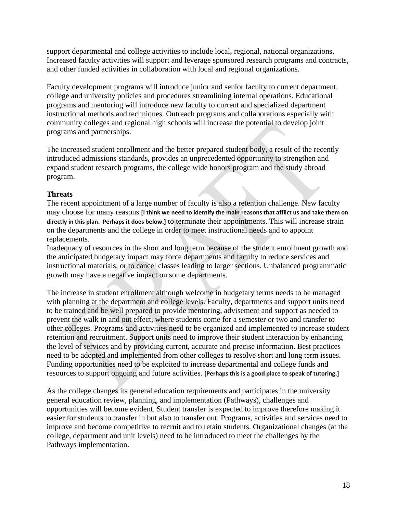support departmental and college activities to include local, regional, national organizations. Increased faculty activities will support and leverage sponsored research programs and contracts, and other funded activities in collaboration with local and regional organizations.

Faculty development programs will introduce junior and senior faculty to current department, college and university policies and procedures streamlining internal operations. Educational programs and mentoring will introduce new faculty to current and specialized department instructional methods and techniques. Outreach programs and collaborations especially with community colleges and regional high schools will increase the potential to develop joint programs and partnerships.

The increased student enrollment and the better prepared student body, a result of the recently introduced admissions standards, provides an unprecedented opportunity to strengthen and expand student research programs, the college wide honors program and the study abroad program.

# **Threats**

The recent appointment of a large number of faculty is also a retention challenge. New faculty may choose for many reasons **[I think we need to identify the main reasons that afflict us and take them on directly in this plan. Perhaps it does below.]** to terminate their appointments. This will increase strain on the departments and the college in order to meet instructional needs and to appoint replacements.

Inadequacy of resources in the short and long term because of the student enrollment growth and the anticipated budgetary impact may force departments and faculty to reduce services and instructional materials, or to cancel classes leading to larger sections. Unbalanced programmatic growth may have a negative impact on some departments.

The increase in student enrollment although welcome in budgetary terms needs to be managed with planning at the department and college levels. Faculty, departments and support units need to be trained and be well prepared to provide mentoring, advisement and support as needed to prevent the walk in and out effect, where students come for a semester or two and transfer to other colleges. Programs and activities need to be organized and implemented to increase student retention and recruitment. Support units need to improve their student interaction by enhancing the level of services and by providing current, accurate and precise information. Best practices need to be adopted and implemented from other colleges to resolve short and long term issues. Funding opportunities need to be exploited to increase departmental and college funds and resources to support ongoing and future activities. **[Perhaps this is a good place to speak of tutoring.]**

As the college changes its general education requirements and participates in the university general education review, planning, and implementation (Pathways), challenges and opportunities will become evident. Student transfer is expected to improve therefore making it easier for students to transfer in but also to transfer out. Programs, activities and services need to improve and become competitive to recruit and to retain students. Organizational changes (at the college, department and unit levels) need to be introduced to meet the challenges by the Pathways implementation.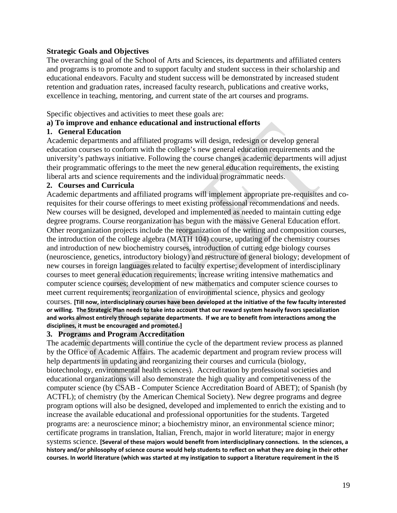#### **Strategic Goals and Objectives**

The overarching goal of the School of Arts and Sciences, its departments and affiliated centers and programs is to promote and to support faculty and student success in their scholarship and educational endeavors. Faculty and student success will be demonstrated by increased student retention and graduation rates, increased faculty research, publications and creative works, excellence in teaching, mentoring, and current state of the art courses and programs.

Specific objectives and activities to meet these goals are:

#### **a) To improve and enhance educational and instructional efforts**

#### **1. General Education**

Academic departments and affiliated programs will design, redesign or develop general education courses to conform with the college's new general education requirements and the university's pathways initiative. Following the course changes academic departments will adjust their programmatic offerings to the meet the new general education requirements, the existing liberal arts and science requirements and the individual programmatic needs.

#### **2. Courses and Curricula**

Academic departments and affiliated programs will implement appropriate pre-requisites and corequisites for their course offerings to meet existing professional recommendations and needs. New courses will be designed, developed and implemented as needed to maintain cutting edge degree programs. Course reorganization has begun with the massive General Education effort. Other reorganization projects include the reorganization of the writing and composition courses, the introduction of the college algebra (MATH 104) course, updating of the chemistry courses and introduction of new biochemistry courses, introduction of cutting edge biology courses (neuroscience, genetics, introductory biology) and restructure of general biology; development of new courses in foreign languages related to faculty expertise; development of interdisciplinary courses to meet general education requirements; increase writing intensive mathematics and computer science courses; development of new mathematics and computer science courses to meet current requirements; reorganization of environmental science, physics and geology courses. **[Till now, interdisciplinary courses have been developed at the initiative of the few faculty interested or willing. The Strategic Plan needs to take into account that our reward system heavily favors specialization and works almost entirely through separate departments. If we are to benefit from interactions among the disciplines, it must be encouraged and promoted.]**

#### **3. Programs and Program Accreditation**

The academic departments will continue the cycle of the department review process as planned by the Office of Academic Affairs. The academic department and program review process will help departments in updating and reorganizing their courses and curricula (biology, biotechnology, environmental health sciences). Accreditation by professional societies and educational organizations will also demonstrate the high quality and competitiveness of the computer science (by CSAB - Computer Science Accreditation Board of ABET); of Spanish (by ACTFL); of chemistry (by the American Chemical Society). New degree programs and degree program options will also be designed, developed and implemented to enrich the existing and to increase the available educational and professional opportunities for the students. Targeted programs are: a neuroscience minor; a biochemistry minor, an environmental science minor; certificate programs in translation, Italian, French, major in world literature; major in energy systems science. **[Several of these majors would benefit from interdisciplinary connections. In the sciences, a history and/or philosophy of science course would help students to reflect on what they are doing in their other courses. In world literature (which was started at my instigation to support a literature requirement in the IS**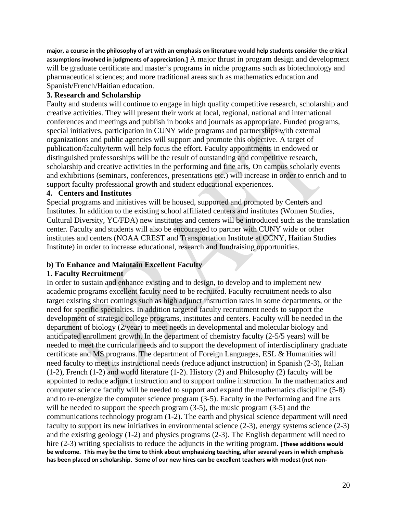**major, a course in the philosophy of art with an emphasis on literature would help students consider the critical assumptions involved in judgments of appreciation.]** A major thrust in program design and development will be graduate certificate and master's programs in niche programs such as biotechnology and pharmaceutical sciences; and more traditional areas such as mathematics education and Spanish/French/Haitian education.

# **3. Research and Scholarship**

Faulty and students will continue to engage in high quality competitive research, scholarship and creative activities. They will present their work at local, regional, national and international conferences and meetings and publish in books and journals as appropriate. Funded programs, special initiatives, participation in CUNY wide programs and partnerships with external organizations and public agencies will support and promote this objective. A target of publication/faculty/term will help focus the effort. Faculty appointments in endowed or distinguished professorships will be the result of outstanding and competitive research, scholarship and creative activities in the performing and fine arts. On campus scholarly events and exhibitions (seminars, conferences, presentations etc.) will increase in order to enrich and to support faculty professional growth and student educational experiences.

# **4. Centers and Institutes**

Special programs and initiatives will be housed, supported and promoted by Centers and Institutes. In addition to the existing school affiliated centers and institutes (Women Studies, Cultural Diversity, YC/FDA) new institutes and centers will be introduced such as the translation center. Faculty and students will also be encouraged to partner with CUNY wide or other institutes and centers (NOAA CREST and Transportation Institute at CCNY, Haitian Studies Institute) in order to increase educational, research and fundraising opportunities.

# **b) To Enhance and Maintain Excellent Faculty**

# **1. Faculty Recruitment**

In order to sustain and enhance existing and to design, to develop and to implement new academic programs excellent faculty need to be recruited. Faculty recruitment needs to also target existing short comings such as high adjunct instruction rates in some departments, or the need for specific specialties. In addition targeted faculty recruitment needs to support the development of strategic college programs, institutes and centers. Faculty will be needed in the department of biology (2/year) to meet needs in developmental and molecular biology and anticipated enrollment growth. In the department of chemistry faculty (2-5/5 years) will be needed to meet the curricular needs and to support the development of interdisciplinary graduate certificate and MS programs. The department of Foreign Languages, ESL & Humanities will need faculty to meet its instructional needs (reduce adjunct instruction) in Spanish (2-3), Italian (1-2), French (1-2) and world literature (1-2). History (2) and Philosophy (2) faculty will be appointed to reduce adjunct instruction and to support online instruction. In the mathematics and computer science faculty will be needed to support and expand the mathematics discipline (5-8) and to re-energize the computer science program (3-5). Faculty in the Performing and fine arts will be needed to support the speech program  $(3-5)$ , the music program  $(3-5)$  and the communications technology program (1-2). The earth and physical science department will need faculty to support its new initiatives in environmental science (2-3), energy systems science (2-3) and the existing geology (1-2) and physics programs (2-3). The English department will need to hire (2-3) writing specialists to reduce the adjuncts in the writing program. **[These additions would be welcome. This may be the time to think about emphasizing teaching, after several years in which emphasis has been placed on scholarship. Some of our new hires can be excellent teachers with modest (not non-**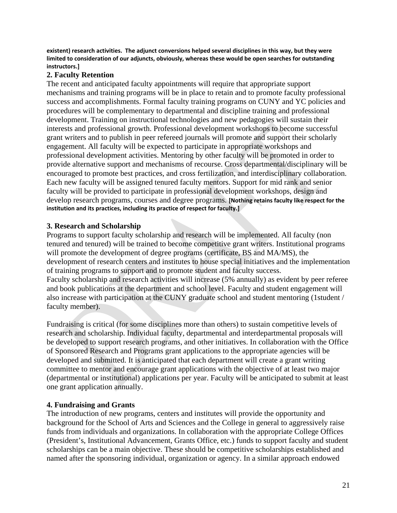**existent) research activities. The adjunct conversions helped several disciplines in this way, but they were limited to consideration of our adjuncts, obviously, whereas these would be open searches for outstanding instructors.]**

#### **2. Faculty Retention**

The recent and anticipated faculty appointments will require that appropriate support mechanisms and training programs will be in place to retain and to promote faculty professional success and accomplishments. Formal faculty training programs on CUNY and YC policies and procedures will be complementary to departmental and discipline training and professional development. Training on instructional technologies and new pedagogies will sustain their interests and professional growth. Professional development workshops to become successful grant writers and to publish in peer refereed journals will promote and support their scholarly engagement. All faculty will be expected to participate in appropriate workshops and professional development activities. Mentoring by other faculty will be promoted in order to provide alternative support and mechanisms of recourse. Cross departmental/disciplinary will be encouraged to promote best practices, and cross fertilization, and interdisciplinary collaboration. Each new faculty will be assigned tenured faculty mentors. Support for mid rank and senior faculty will be provided to participate in professional development workshops, design and develop research programs, courses and degree programs. **[Nothing retains faculty like respect for the institution and its practices, including its practice of respect for faculty.]**

#### **3. Research and Scholarship**

Programs to support faculty scholarship and research will be implemented. All faculty (non tenured and tenured) will be trained to become competitive grant writers. Institutional programs will promote the development of degree programs (certificate, BS and MA/MS), the development of research centers and institutes to house special initiatives and the implementation of training programs to support and to promote student and faculty success. Faculty scholarship and research activities will increase (5% annually) as evident by peer referee and book publications at the department and school level. Faculty and student engagement will also increase with participation at the CUNY graduate school and student mentoring (1student / faculty member).

Fundraising is critical (for some disciplines more than others) to sustain competitive levels of research and scholarship. Individual faculty, departmental and interdepartmental proposals will be developed to support research programs, and other initiatives. In collaboration with the Office of Sponsored Research and Programs grant applications to the appropriate agencies will be developed and submitted. It is anticipated that each department will create a grant writing committee to mentor and encourage grant applications with the objective of at least two major (departmental or institutional) applications per year. Faculty will be anticipated to submit at least one grant application annually.

# **4. Fundraising and Grants**

The introduction of new programs, centers and institutes will provide the opportunity and background for the School of Arts and Sciences and the College in general to aggressively raise funds from individuals and organizations. In collaboration with the appropriate College Offices (President's, Institutional Advancement, Grants Office, etc.) funds to support faculty and student scholarships can be a main objective. These should be competitive scholarships established and named after the sponsoring individual, organization or agency. In a similar approach endowed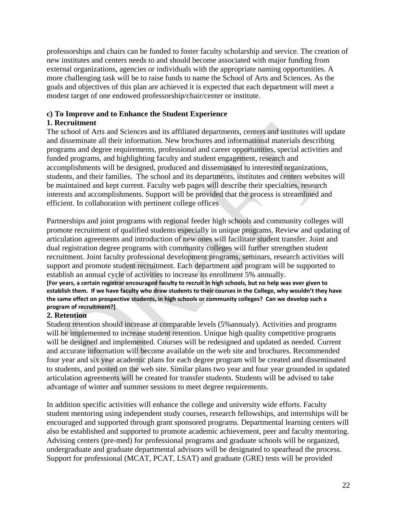professorships and chairs can be funded to foster faculty scholarship and service. The creation of new institutes and centers needs to and should become associated with major funding from external organizations, agencies or individuals with the appropriate naming opportunities. A more challenging task will be to raise funds to name the School of Arts and Sciences. As the goals and objectives of this plan are achieved it is expected that each department will meet a modest target of one endowed professorship/chair/center or institute.

# **c) To Improve and to Enhance the Student Experience**

# **1. Recruitment**

The school of Arts and Sciences and its affiliated departments, centers and institutes will update and disseminate all their information. New brochures and informational materials describing programs and degree requirements, professional and career opportunities, special activities and funded programs, and highlighting faculty and student engagement, research and accomplishments will be designed, produced and disseminated to interested organizations, students, and their families. The school and its departments, institutes and centers websites will be maintained and kept current. Faculty web pages will describe their specialties, research interests and accomplishments. Support will be provided that the process is streamlined and efficient. In collaboration with pertinent college offices

Partnerships and joint programs with regional feeder high schools and community colleges will promote recruitment of qualified students especially in unique programs. Review and updating of articulation agreements and introduction of new ones will facilitate student transfer. Joint and dual registration degree programs with community colleges will further strengthen student recruitment. Joint faculty professional development programs, seminars, research activities will support and promote student recruitment. Each department and program will be supported to establish an annual cycle of activities to increase its enrollment 5% annually. **[For years, a certain registrar encouraged faculty to recruit in high schools, but no help was ever given to establish them. If we have faculty who draw students to their courses in the College, why wouldn't they have the same effect on prospective students, in high schools or community colleges? Can we develop such a** 

# **program of recruitment?]**

# **2. Retention**

Student retention should increase at comparable levels (5%annualy). Activities and programs will be implemented to increase student retention. Unique high quality competitive programs will be designed and implemented. Courses will be redesigned and updated as needed. Current and accurate information will become available on the web site and brochures. Recommended four year and six year academic plans for each degree program will be created and disseminated to students, and posted on the web site. Similar plans two year and four year grounded in updated articulation agreements will be created for transfer students. Students will be advised to take advantage of winter and summer sessions to meet degree requirements.

In addition specific activities will enhance the college and university wide efforts. Faculty student mentoring using independent study courses, research fellowships, and internships will be encouraged and supported through grant sponsored programs. Departmental learning centers will also be established and supported to promote academic achievement, peer and faculty mentoring. Advising centers (pre-med) for professional programs and graduate schools will be organized, undergraduate and graduate departmental advisors will be designated to spearhead the process. Support for professional (MCAT, PCAT, LSAT) and graduate (GRE) tests will be provided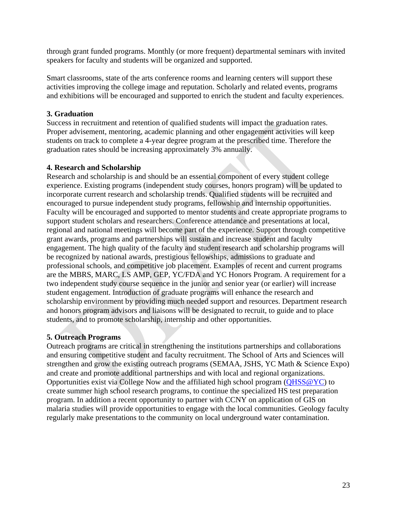through grant funded programs. Monthly (or more frequent) departmental seminars with invited speakers for faculty and students will be organized and supported.

Smart classrooms, state of the arts conference rooms and learning centers will support these activities improving the college image and reputation. Scholarly and related events, programs and exhibitions will be encouraged and supported to enrich the student and faculty experiences.

#### **3. Graduation**

Success in recruitment and retention of qualified students will impact the graduation rates. Proper advisement, mentoring, academic planning and other engagement activities will keep students on track to complete a 4-year degree program at the prescribed time. Therefore the graduation rates should be increasing approximately 3% annually.

#### **4. Research and Scholarship**

Research and scholarship is and should be an essential component of every student college experience. Existing programs (independent study courses, honors program) will be updated to incorporate current research and scholarship trends. Qualified students will be recruited and encouraged to pursue independent study programs, fellowship and internship opportunities. Faculty will be encouraged and supported to mentor students and create appropriate programs to support student scholars and researchers. Conference attendance and presentations at local, regional and national meetings will become part of the experience. Support through competitive grant awards, programs and partnerships will sustain and increase student and faculty engagement. The high quality of the faculty and student research and scholarship programs will be recognized by national awards, prestigious fellowships, admissions to graduate and professional schools, and competitive job placement. Examples of recent and current programs are the MBRS, MARC, LS AMP, GEP, YC/FDA and YC Honors Program. A requirement for a two independent study course sequence in the junior and senior year (or earlier) will increase student engagement. Introduction of graduate programs will enhance the research and scholarship environment by providing much needed support and resources. Department research and honors program advisors and liaisons will be designated to recruit, to guide and to place students, and to promote scholarship, internship and other opportunities.

# **5. Outreach Programs**

Outreach programs are critical in strengthening the institutions partnerships and collaborations and ensuring competitive student and faculty recruitment. The School of Arts and Sciences will strengthen and grow the existing outreach programs (SEMAA, JSHS, YC Math & Science Expo) and create and promote additional partnerships and with local and regional organizations. Opportunities exist via College Now and the affiliated high school program [\(QHSS@YC\)](mailto:QHSS@YC) to create summer high school research programs, to continue the specialized HS test preparation program. In addition a recent opportunity to partner with CCNY on application of GIS on malaria studies will provide opportunities to engage with the local communities. Geology faculty regularly make presentations to the community on local underground water contamination.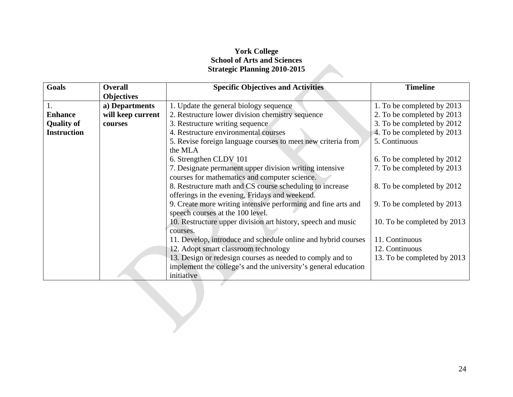# **York College School of Arts and Sciences Strategic Planning 2010-2015**

| <b>Goals</b>       | <b>Overall</b>    | <b>Specific Objectives and Activities</b>                      | <b>Timeline</b>             |
|--------------------|-------------------|----------------------------------------------------------------|-----------------------------|
|                    | <b>Objectives</b> |                                                                |                             |
|                    | a) Departments    | 1. Update the general biology sequence                         | 1. To be completed by 2013  |
| <b>Enhance</b>     | will keep current | 2. Restructure lower division chemistry sequence               | 2. To be completed by 2013  |
| <b>Quality of</b>  | courses           | 3. Restructure writing sequence                                | 3. To be completed by 2012  |
| <b>Instruction</b> |                   | 4. Restructure environmental courses                           | 4. To be completed by 2013  |
|                    |                   | 5. Revise foreign language courses to meet new criteria from   | 5. Continuous               |
|                    |                   | the MLA                                                        |                             |
|                    |                   | 6. Strengthen CLDV 101                                         | 6. To be completed by 2012  |
|                    |                   | 7. Designate permanent upper division writing intensive        | 7. To be completed by 2013  |
|                    |                   | courses for mathematics and computer science.                  |                             |
|                    |                   | 8. Restructure math and CS course scheduling to increase       | 8. To be completed by 2012  |
|                    |                   | offerings in the evening, Fridays and weekend.                 |                             |
|                    |                   | 9. Create more writing intensive performing and fine arts and  | 9. To be completed by 2013  |
|                    |                   | speech courses at the 100 level.                               |                             |
|                    |                   | 10. Restructure upper division art history, speech and music   | 10. To be completed by 2013 |
|                    |                   | courses.                                                       |                             |
|                    |                   | 11. Develop, introduce and schedule online and hybrid courses  | 11. Continuous              |
|                    |                   | 12. Adopt smart classroom technology                           | 12. Continuous              |
|                    |                   | 13. Design or redesign courses as needed to comply and to      | 13. To be completed by 2013 |
|                    |                   | implement the college's and the university's general education |                             |
|                    |                   | initiative                                                     |                             |
|                    |                   |                                                                |                             |
|                    |                   |                                                                |                             |
|                    |                   |                                                                |                             |
|                    |                   |                                                                |                             |
|                    |                   |                                                                |                             |
|                    |                   |                                                                |                             |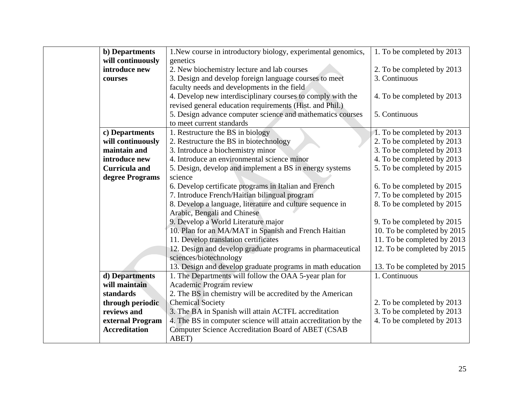| <b>b</b> ) Departments | 1. New course in introductory biology, experimental genomics,  | 1. To be completed by 2013  |
|------------------------|----------------------------------------------------------------|-----------------------------|
| will continuously      | genetics                                                       |                             |
| introduce new          | 2. New biochemistry lecture and lab courses                    | 2. To be completed by 2013  |
| courses                | 3. Design and develop foreign language courses to meet         | 3. Continuous               |
|                        | faculty needs and developments in the field                    |                             |
|                        | 4. Develop new interdisciplinary courses to comply with the    | 4. To be completed by 2013  |
|                        | revised general education requirements (Hist. and Phil.)       |                             |
|                        | 5. Design advance computer science and mathematics courses     | 5. Continuous               |
|                        | to meet current standards                                      |                             |
| c) Departments         | 1. Restructure the BS in biology                               | 1. To be completed by 2013  |
| will continuously      | 2. Restructure the BS in biotechnology                         | 2. To be completed by 2013  |
| maintain and           | 3. Introduce a biochemistry minor                              | 3. To be completed by 2013  |
| introduce new          | 4. Introduce an environmental science minor                    | 4. To be completed by 2013  |
| <b>Curricula and</b>   | 5. Design, develop and implement a BS in energy systems        | 5. To be completed by 2015  |
| degree Programs        | science                                                        |                             |
|                        | 6. Develop certificate programs in Italian and French          | 6. To be completed by 2015  |
|                        | 7. Introduce French/Haitian bilingual program                  | 7. To be completed by 2015  |
|                        | 8. Develop a language, literature and culture sequence in      | 8. To be completed by 2015  |
|                        | Arabic, Bengali and Chinese                                    |                             |
|                        | 9. Develop a World Literature major                            | 9. To be completed by 2015  |
|                        | 10. Plan for an MA/MAT in Spanish and French Haitian           | 10. To be completed by 2015 |
|                        | 11. Develop translation certificates                           | 11. To be completed by 2013 |
|                        | 12. Design and develop graduate programs in pharmaceutical     | 12. To be completed by 2015 |
|                        | sciences/biotechnology                                         |                             |
|                        | 13. Design and develop graduate programs in math education     | 13. To be completed by 2015 |
| d) Departments         | 1. The Departments will follow the OAA 5-year plan for         | 1. Continuous               |
| will maintain          | Academic Program review                                        |                             |
| standards              | 2. The BS in chemistry will be accredited by the American      |                             |
| through periodic       | <b>Chemical Society</b>                                        | 2. To be completed by 2013  |
| reviews and            | 3. The BA in Spanish will attain ACTFL accreditation           | 3. To be completed by 2013  |
| external Program       | 4. The BS in computer science will attain accreditation by the | 4. To be completed by 2013  |
| <b>Accreditation</b>   | Computer Science Accreditation Board of ABET (CSAB             |                             |
|                        | ABET)                                                          |                             |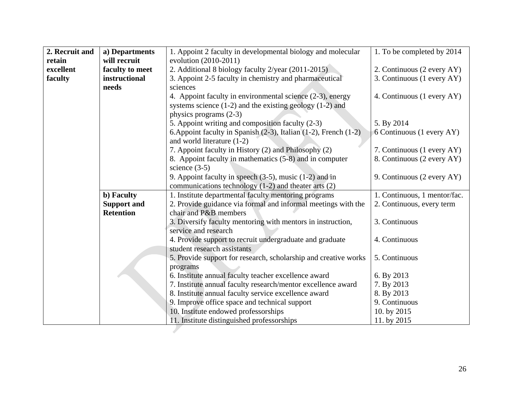| 2. Recruit and | a) Departments     | 1. Appoint 2 faculty in developmental biology and molecular      | 1. To be completed by 2014   |
|----------------|--------------------|------------------------------------------------------------------|------------------------------|
| retain         | will recruit       | evolution (2010-2011)                                            |                              |
| excellent      | faculty to meet    | 2. Additional 8 biology faculty 2/year (2011-2015)               | 2. Continuous (2 every AY)   |
| faculty        | instructional      | 3. Appoint 2-5 faculty in chemistry and pharmaceutical           | 3. Continuous (1 every AY)   |
|                | needs              | sciences                                                         |                              |
|                |                    | 4. Appoint faculty in environmental science (2-3), energy        | 4. Continuous (1 every AY)   |
|                |                    | systems science $(1-2)$ and the existing geology $(1-2)$ and     |                              |
|                |                    | physics programs (2-3)                                           |                              |
|                |                    | 5. Appoint writing and composition faculty (2-3)                 | 5. By 2014                   |
|                |                    | 6. Appoint faculty in Spanish (2-3), Italian (1-2), French (1-2) | 6 Continuous (1 every AY)    |
|                |                    | and world literature (1-2)                                       |                              |
|                |                    | 7. Appoint faculty in History (2) and Philosophy (2)             | 7. Continuous (1 every AY)   |
|                |                    | 8. Appoint faculty in mathematics (5-8) and in computer          | 8. Continuous (2 every AY)   |
|                |                    | science $(3-5)$                                                  |                              |
|                |                    | 9. Appoint faculty in speech $(3-5)$ , music $(1-2)$ and in      | 9. Continuous (2 every AY)   |
|                |                    | communications technology $(1-2)$ and theater arts $(2)$         |                              |
|                | b) Faculty         | 1. Institute departmental faculty mentoring programs             | 1. Continuous, 1 mentor/fac. |
|                | <b>Support and</b> | 2. Provide guidance via formal and informal meetings with the    | 2. Continuous, every term    |
|                | <b>Retention</b>   | chair and P&B members                                            |                              |
|                |                    | 3. Diversify faculty mentoring with mentors in instruction,      | 3. Continuous                |
|                |                    | service and research                                             |                              |
|                |                    | 4. Provide support to recruit undergraduate and graduate         | 4. Continuous                |
|                |                    | student research assistants                                      |                              |
|                |                    | 5. Provide support for research, scholarship and creative works  | 5. Continuous                |
|                |                    | programs                                                         |                              |
|                |                    | 6. Institute annual faculty teacher excellence award             | 6. By 2013                   |
|                |                    | 7. Institute annual faculty research/mentor excellence award     | 7. By 2013                   |
|                |                    | 8. Institute annual faculty service excellence award             | 8. By 2013                   |
|                |                    | 9. Improve office space and technical support                    | 9. Continuous                |
|                |                    | 10. Institute endowed professorships                             | 10. by 2015                  |
|                |                    | 11. Institute distinguished professorships                       | 11. by 2015                  |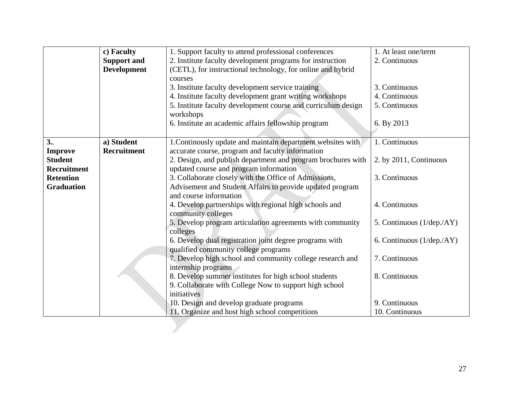|                                                        | c) Faculty<br><b>Support and</b><br><b>Development</b> | 1. Support faculty to attend professional conferences<br>2. Institute faculty development programs for instruction<br>(CETL), for instructional technology, for online and hybrid<br>courses<br>3. Institute faculty development service training<br>4. Institute faculty development grant writing workshops | 1. At least one/term<br>2. Continuous<br>3. Continuous<br>4. Continuous |
|--------------------------------------------------------|--------------------------------------------------------|---------------------------------------------------------------------------------------------------------------------------------------------------------------------------------------------------------------------------------------------------------------------------------------------------------------|-------------------------------------------------------------------------|
|                                                        |                                                        | 5. Institute faculty development course and curriculum design                                                                                                                                                                                                                                                 | 5. Continuous                                                           |
|                                                        |                                                        | workshops<br>6. Institute an academic affairs fellowship program                                                                                                                                                                                                                                              | 6. By 2013                                                              |
| 3.                                                     | a) Student<br><b>Recruitment</b>                       | 1. Continously update and maintain department websites with                                                                                                                                                                                                                                                   | 1. Continuous                                                           |
| <b>Improve</b><br><b>Student</b><br><b>Recruitment</b> |                                                        | accurate course, program and faculty information<br>2. Design, and publish department and program brochures with<br>updated course and program information                                                                                                                                                    | 2. by 2011, Continuous                                                  |
| <b>Retention</b><br><b>Graduation</b>                  |                                                        | 3. Collaborate closely with the Office of Admissions,<br>Advisement and Student Affairs to provide updated program<br>and course information                                                                                                                                                                  | 3. Continuous                                                           |
|                                                        |                                                        | 4. Develop partnerships with regional high schools and<br>community colleges                                                                                                                                                                                                                                  | 4. Continuous                                                           |
|                                                        |                                                        | 5. Develop program articulation agreements with community<br>colleges                                                                                                                                                                                                                                         | 5. Continuous (1/dep./AY)                                               |
|                                                        |                                                        | 6. Develop dual registration joint degree programs with<br>qualified community college programs                                                                                                                                                                                                               | 6. Continuous $(1/\text{dep.}/\text{AY})$                               |
|                                                        |                                                        | 7. Develop high school and community college research and<br>internship programs                                                                                                                                                                                                                              | 7. Continuous                                                           |
|                                                        |                                                        | 8. Develop summer institutes for high school students<br>9. Collaborate with College Now to support high school<br>initiatives                                                                                                                                                                                | 8. Continuous                                                           |
|                                                        |                                                        | 10. Design and develop graduate programs<br>11. Organize and host high school competitions                                                                                                                                                                                                                    | 9. Continuous<br>10. Continuous                                         |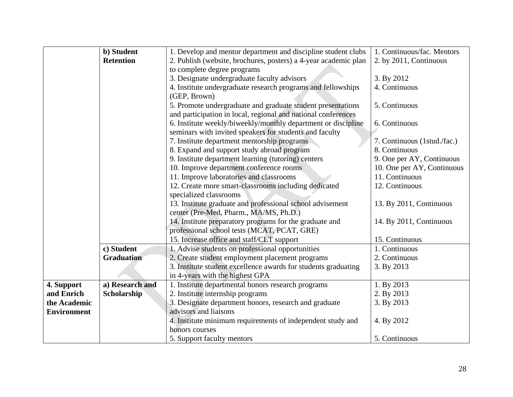|                    | b) Student        | 1. Develop and mentor department and discipline student clubs   | 1. Continuous/fac. Mentors  |
|--------------------|-------------------|-----------------------------------------------------------------|-----------------------------|
|                    | <b>Retention</b>  | 2. Publish (website, brochures, posters) a 4-year academic plan | 2. by 2011, Continuous      |
|                    |                   | to complete degree programs                                     |                             |
|                    |                   | 3. Designate undergraduate faculty advisors                     | 3. By 2012                  |
|                    |                   | 4. Institute undergraduate research programs and fellowships    | 4. Continuous               |
|                    |                   | (GEP, Brown)                                                    |                             |
|                    |                   | 5. Promote undergraduate and graduate student presentations     | 5. Continuous               |
|                    |                   | and participation in local, regional and national conferences   |                             |
|                    |                   | 6. Institute weekly/biweekly/monthly department or discipline   | 6. Continuous               |
|                    |                   | seminars with invited speakers for students and faculty         |                             |
|                    |                   | 7. Institute department mentorship programs                     | 7. Continuous (1stud./fac.) |
|                    |                   | 8. Expand and support study abroad program                      | 8. Continuous               |
|                    |                   | 9. Institute department learning (tutoring) centers             | 9. One per AY, Continuous   |
|                    |                   | 10. Improve department conference rooms                         | 10. One per AY, Continuous  |
|                    |                   | 11. Improve laboratories and classrooms                         | 11. Continuous              |
|                    |                   | 12. Create more smart-classrooms including dedicated            | 12. Continuous              |
|                    |                   | specialized classrooms                                          |                             |
|                    |                   | 13. Institute graduate and professional school advisement       | 13. By 2011, Continuous     |
|                    |                   | center (Pre-Med, Pharm., MA/MS, Ph.D.)                          |                             |
|                    |                   | 14. Institute preparatory programs for the graduate and         | 14. By 2011, Continuous     |
|                    |                   | professional school tests (MCAT, PCAT, GRE)                     |                             |
|                    |                   | 15. Increase office and staff/CLT support                       | 15. Continuous              |
|                    | c) Student        | 1. Advise students on professional opportunities                | 1. Continuous               |
|                    | <b>Graduation</b> | 2. Create student employment placement programs                 | 2. Continuous               |
|                    |                   | 3. Institute student excellence awards for students graduating  | 3. By 2013                  |
|                    |                   | in 4-years with the highest GPA                                 |                             |
| 4. Support         | a) Research and   | 1. Institute departmental honors research programs              | 1. By 2013                  |
| and Enrich         | Scholarship       | 2. Institute internship programs                                | 2. By 2013                  |
| the Academic       |                   | 3. Designate department honors, research and graduate           | 3. By 2013                  |
| <b>Environment</b> |                   | advisors and liaisons                                           |                             |
|                    |                   | 4. Institute minimum requirements of independent study and      | 4. By 2012                  |
|                    |                   | honors courses                                                  |                             |
|                    |                   | 5. Support faculty mentors                                      | 5. Continuous               |